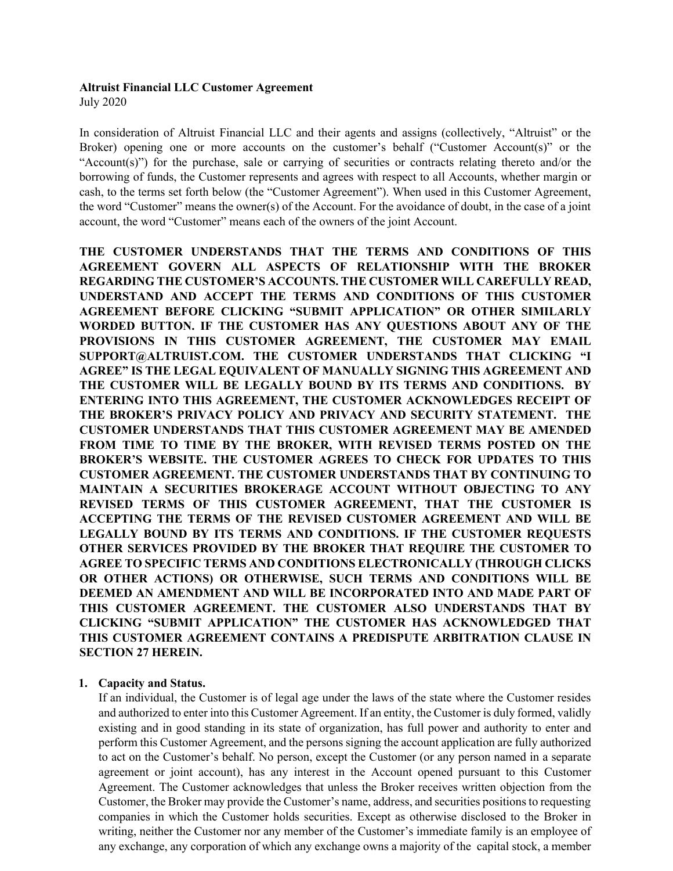# **Altruist Financial LLC Customer Agreement**

July 2020

In consideration of Altruist Financial LLC and their agents and assigns (collectively, "Altruist" or the Broker) opening one or more accounts on the customer's behalf ("Customer Account(s)" or the "Account(s)") for the purchase, sale or carrying of securities or contracts relating thereto and/or the borrowing of funds, the Customer represents and agrees with respect to all Accounts, whether margin or cash, to the terms set forth below (the "Customer Agreement"). When used in this Customer Agreement, the word "Customer" means the owner(s) of the Account. For the avoidance of doubt, in the case of a joint account, the word "Customer" means each of the owners of the joint Account.

**THE CUSTOMER UNDERSTANDS THAT THE TERMS AND CONDITIONS OF THIS AGREEMENT GOVERN ALL ASPECTS OF RELATIONSHIP WITH THE BROKER REGARDING THE CUSTOMER'S ACCOUNTS. THE CUSTOMER WILL CAREFULLY READ, UNDERSTAND AND ACCEPT THE TERMS AND CONDITIONS OF THIS CUSTOMER AGREEMENT BEFORE CLICKING "SUBMIT APPLICATION" OR OTHER SIMILARLY WORDED BUTTON. IF THE CUSTOMER HAS ANY QUESTIONS ABOUT ANY OF THE PROVISIONS IN THIS CUSTOMER AGREEMENT, THE CUSTOMER MAY EMAIL SUPPORT@ALTRUIST.COM. THE CUSTOMER UNDERSTANDS THAT CLICKING "I AGREE" IS THE LEGAL EQUIVALENT OF MANUALLY SIGNING THIS AGREEMENT AND THE CUSTOMER WILL BE LEGALLY BOUND BY ITS TERMS AND CONDITIONS. BY ENTERING INTO THIS AGREEMENT, THE CUSTOMER ACKNOWLEDGES RECEIPT OF THE BROKER'S PRIVACY POLICY AND PRIVACY AND SECURITY STATEMENT. THE CUSTOMER UNDERSTANDS THAT THIS CUSTOMER AGREEMENT MAY BE AMENDED FROM TIME TO TIME BY THE BROKER, WITH REVISED TERMS POSTED ON THE BROKER'S WEBSITE. THE CUSTOMER AGREES TO CHECK FOR UPDATES TO THIS CUSTOMER AGREEMENT. THE CUSTOMER UNDERSTANDS THAT BY CONTINUING TO MAINTAIN A SECURITIES BROKERAGE ACCOUNT WITHOUT OBJECTING TO ANY REVISED TERMS OF THIS CUSTOMER AGREEMENT, THAT THE CUSTOMER IS ACCEPTING THE TERMS OF THE REVISED CUSTOMER AGREEMENT AND WILL BE LEGALLY BOUND BY ITS TERMS AND CONDITIONS. IF THE CUSTOMER REQUESTS OTHER SERVICES PROVIDED BY THE BROKER THAT REQUIRE THE CUSTOMER TO AGREE TO SPECIFIC TERMS AND CONDITIONS ELECTRONICALLY (THROUGH CLICKS OR OTHER ACTIONS) OR OTHERWISE, SUCH TERMS AND CONDITIONS WILL BE DEEMED AN AMENDMENT AND WILL BE INCORPORATED INTO AND MADE PART OF THIS CUSTOMER AGREEMENT. THE CUSTOMER ALSO UNDERSTANDS THAT BY CLICKING "SUBMIT APPLICATION" THE CUSTOMER HAS ACKNOWLEDGED THAT THIS CUSTOMER AGREEMENT CONTAINS A PREDISPUTE ARBITRATION CLAUSE IN SECTION 27 HEREIN.**

## **1. Capacity and Status.**

If an individual, the Customer is of legal age under the laws of the state where the Customer resides and authorized to enter into this Customer Agreement. If an entity, the Customer is duly formed, validly existing and in good standing in its state of organization, has full power and authority to enter and perform this Customer Agreement, and the persons signing the account application are fully authorized to act on the Customer's behalf. No person, except the Customer (or any person named in a separate agreement or joint account), has any interest in the Account opened pursuant to this Customer Agreement. The Customer acknowledges that unless the Broker receives written objection from the Customer, the Broker may provide the Customer's name, address, and securities positions to requesting companies in which the Customer holds securities. Except as otherwise disclosed to the Broker in writing, neither the Customer nor any member of the Customer's immediate family is an employee of any exchange, any corporation of which any exchange owns a majority of the capital stock, a member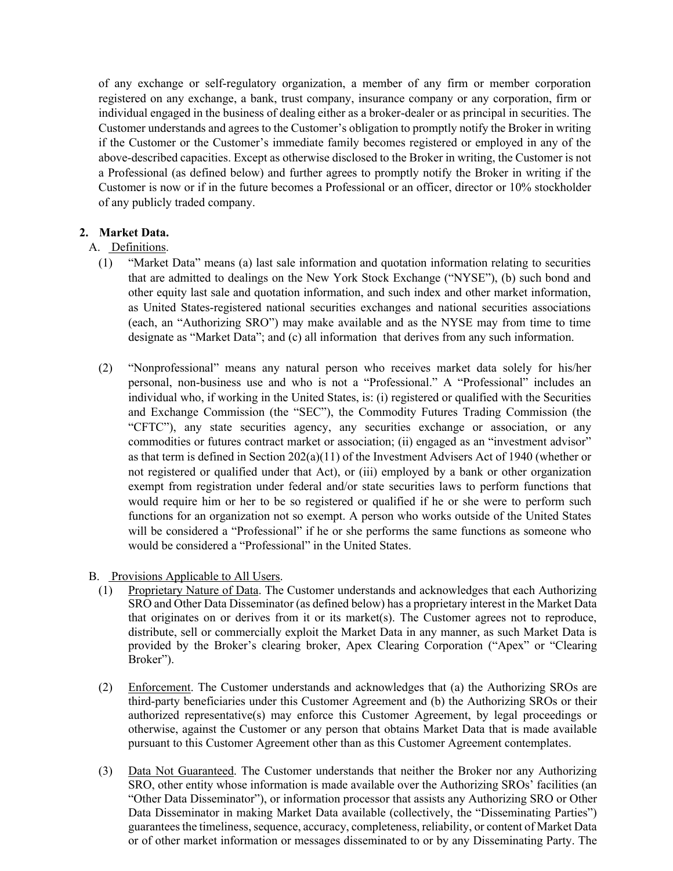of any exchange or self-regulatory organization, a member of any firm or member corporation registered on any exchange, a bank, trust company, insurance company or any corporation, firm or individual engaged in the business of dealing either as a broker-dealer or as principal in securities. The Customer understands and agrees to the Customer's obligation to promptly notify the Broker in writing if the Customer or the Customer's immediate family becomes registered or employed in any of the above-described capacities. Except as otherwise disclosed to the Broker in writing, the Customer is not a Professional (as defined below) and further agrees to promptly notify the Broker in writing if the Customer is now or if in the future becomes a Professional or an officer, director or 10% stockholder of any publicly traded company.

## **2. Market Data.**

- A. Definitions.
	- (1) "Market Data" means (a) last sale information and quotation information relating to securities that are admitted to dealings on the New York Stock Exchange ("NYSE"), (b) such bond and other equity last sale and quotation information, and such index and other market information, as United States-registered national securities exchanges and national securities associations (each, an "Authorizing SRO") may make available and as the NYSE may from time to time designate as "Market Data"; and (c) all information that derives from any such information.
	- (2) "Nonprofessional" means any natural person who receives market data solely for his/her personal, non-business use and who is not a "Professional." A "Professional" includes an individual who, if working in the United States, is: (i) registered or qualified with the Securities and Exchange Commission (the "SEC"), the Commodity Futures Trading Commission (the "CFTC"), any state securities agency, any securities exchange or association, or any commodities or futures contract market or association; (ii) engaged as an "investment advisor" as that term is defined in Section 202(a)(11) of the Investment Advisers Act of 1940 (whether or not registered or qualified under that Act), or (iii) employed by a bank or other organization exempt from registration under federal and/or state securities laws to perform functions that would require him or her to be so registered or qualified if he or she were to perform such functions for an organization not so exempt. A person who works outside of the United States will be considered a "Professional" if he or she performs the same functions as someone who would be considered a "Professional" in the United States.
- B. Provisions Applicable to All Users.
	- (1) Proprietary Nature of Data. The Customer understands and acknowledges that each Authorizing SRO and Other Data Disseminator (as defined below) has a proprietary interest in the Market Data that originates on or derives from it or its market(s). The Customer agrees not to reproduce, distribute, sell or commercially exploit the Market Data in any manner, as such Market Data is provided by the Broker's clearing broker, Apex Clearing Corporation ("Apex" or "Clearing Broker").
	- (2) Enforcement. The Customer understands and acknowledges that (a) the Authorizing SROs are third-party beneficiaries under this Customer Agreement and (b) the Authorizing SROs or their authorized representative(s) may enforce this Customer Agreement, by legal proceedings or otherwise, against the Customer or any person that obtains Market Data that is made available pursuant to this Customer Agreement other than as this Customer Agreement contemplates.
	- (3) Data Not Guaranteed. The Customer understands that neither the Broker nor any Authorizing SRO, other entity whose information is made available over the Authorizing SROs' facilities (an "Other Data Disseminator"), or information processor that assists any Authorizing SRO or Other Data Disseminator in making Market Data available (collectively, the "Disseminating Parties") guarantees the timeliness, sequence, accuracy, completeness, reliability, or content of Market Data or of other market information or messages disseminated to or by any Disseminating Party. The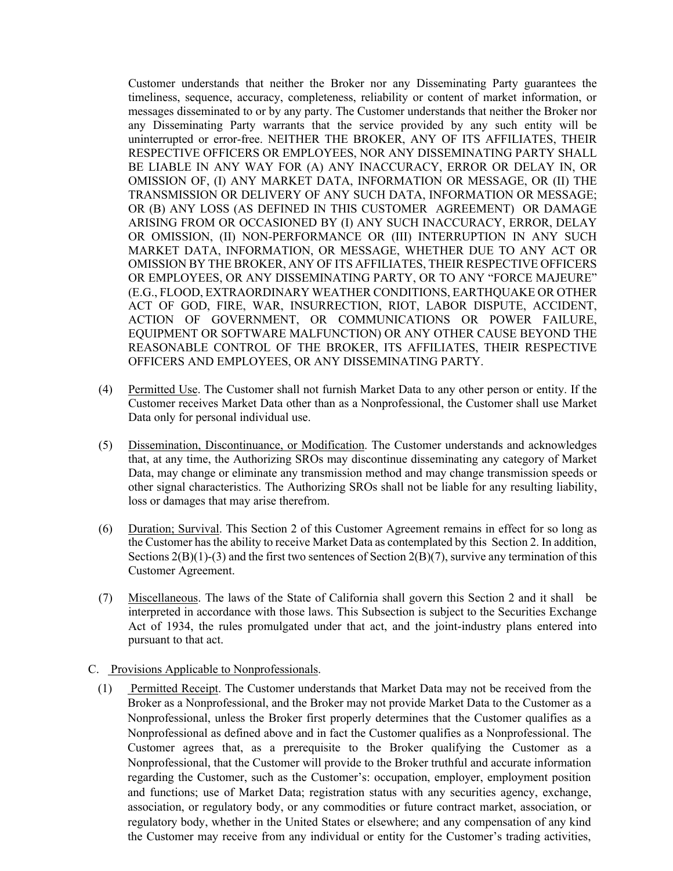Customer understands that neither the Broker nor any Disseminating Party guarantees the timeliness, sequence, accuracy, completeness, reliability or content of market information, or messages disseminated to or by any party. The Customer understands that neither the Broker nor any Disseminating Party warrants that the service provided by any such entity will be uninterrupted or error-free. NEITHER THE BROKER, ANY OF ITS AFFILIATES, THEIR RESPECTIVE OFFICERS OR EMPLOYEES, NOR ANY DISSEMINATING PARTY SHALL BE LIABLE IN ANY WAY FOR (A) ANY INACCURACY, ERROR OR DELAY IN, OR OMISSION OF, (I) ANY MARKET DATA, INFORMATION OR MESSAGE, OR (II) THE TRANSMISSION OR DELIVERY OF ANY SUCH DATA, INFORMATION OR MESSAGE; OR (B) ANY LOSS (AS DEFINED IN THIS CUSTOMER AGREEMENT) OR DAMAGE ARISING FROM OR OCCASIONED BY (I) ANY SUCH INACCURACY, ERROR, DELAY OR OMISSION, (II) NON-PERFORMANCE OR (III) INTERRUPTION IN ANY SUCH MARKET DATA, INFORMATION, OR MESSAGE, WHETHER DUE TO ANY ACT OR OMISSION BY THE BROKER, ANY OF ITS AFFILIATES, THEIR RESPECTIVE OFFICERS OR EMPLOYEES, OR ANY DISSEMINATING PARTY, OR TO ANY "FORCE MAJEURE" (E.G., FLOOD, EXTRAORDINARY WEATHER CONDITIONS, EARTHQUAKE OR OTHER ACT OF GOD, FIRE, WAR, INSURRECTION, RIOT, LABOR DISPUTE, ACCIDENT, ACTION OF GOVERNMENT, OR COMMUNICATIONS OR POWER FAILURE, EQUIPMENT OR SOFTWARE MALFUNCTION) OR ANY OTHER CAUSE BEYOND THE REASONABLE CONTROL OF THE BROKER, ITS AFFILIATES, THEIR RESPECTIVE OFFICERS AND EMPLOYEES, OR ANY DISSEMINATING PARTY.

- (4) Permitted Use. The Customer shall not furnish Market Data to any other person or entity. If the Customer receives Market Data other than as a Nonprofessional, the Customer shall use Market Data only for personal individual use.
- (5) Dissemination, Discontinuance, or Modification. The Customer understands and acknowledges that, at any time, the Authorizing SROs may discontinue disseminating any category of Market Data, may change or eliminate any transmission method and may change transmission speeds or other signal characteristics. The Authorizing SROs shall not be liable for any resulting liability, loss or damages that may arise therefrom.
- (6) Duration; Survival. This Section 2 of this Customer Agreement remains in effect for so long as the Customer has the ability to receive Market Data as contemplated by this Section 2. In addition, Sections  $2(B)(1)-(3)$  and the first two sentences of Section  $2(B)(7)$ , survive any termination of this Customer Agreement.
- (7) Miscellaneous. The laws of the State of California shall govern this Section 2 and it shall be interpreted in accordance with those laws. This Subsection is subject to the Securities Exchange Act of 1934, the rules promulgated under that act, and the joint-industry plans entered into pursuant to that act.
- C. Provisions Applicable to Nonprofessionals.
	- (1) Permitted Receipt. The Customer understands that Market Data may not be received from the Broker as a Nonprofessional, and the Broker may not provide Market Data to the Customer as a Nonprofessional, unless the Broker first properly determines that the Customer qualifies as a Nonprofessional as defined above and in fact the Customer qualifies as a Nonprofessional. The Customer agrees that, as a prerequisite to the Broker qualifying the Customer as a Nonprofessional, that the Customer will provide to the Broker truthful and accurate information regarding the Customer, such as the Customer's: occupation, employer, employment position and functions; use of Market Data; registration status with any securities agency, exchange, association, or regulatory body, or any commodities or future contract market, association, or regulatory body, whether in the United States or elsewhere; and any compensation of any kind the Customer may receive from any individual or entity for the Customer's trading activities,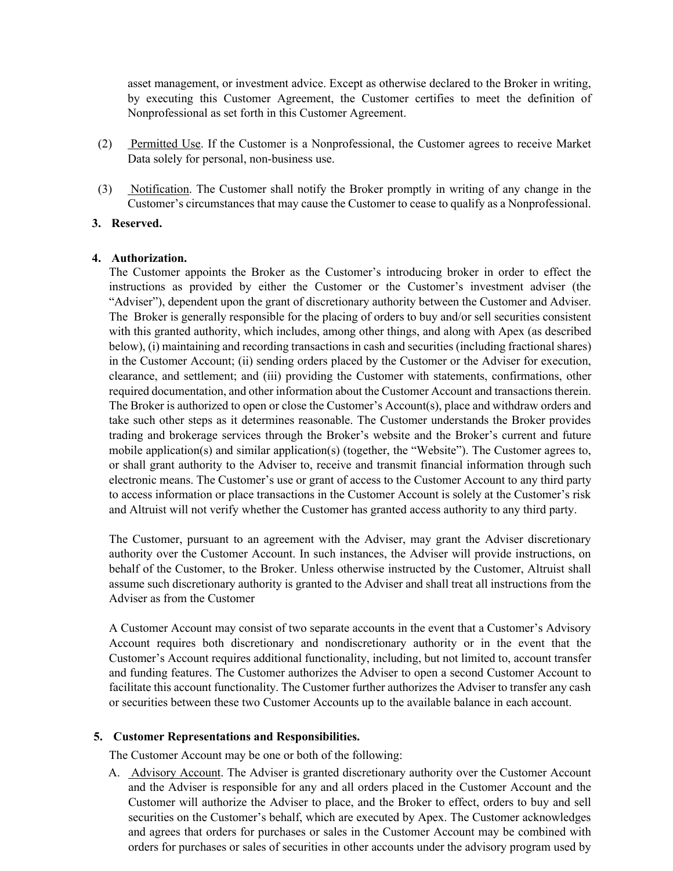asset management, or investment advice. Except as otherwise declared to the Broker in writing, by executing this Customer Agreement, the Customer certifies to meet the definition of Nonprofessional as set forth in this Customer Agreement.

- (2) Permitted Use. If the Customer is a Nonprofessional, the Customer agrees to receive Market Data solely for personal, non-business use.
- (3) Notification. The Customer shall notify the Broker promptly in writing of any change in the Customer's circumstances that may cause the Customer to cease to qualify as a Nonprofessional.

### **3. Reserved.**

#### **4. Authorization.**

The Customer appoints the Broker as the Customer's introducing broker in order to effect the instructions as provided by either the Customer or the Customer's investment adviser (the "Adviser"), dependent upon the grant of discretionary authority between the Customer and Adviser. The Broker is generally responsible for the placing of orders to buy and/or sell securities consistent with this granted authority, which includes, among other things, and along with Apex (as described below), (i) maintaining and recording transactions in cash and securities (including fractional shares) in the Customer Account; (ii) sending orders placed by the Customer or the Adviser for execution, clearance, and settlement; and (iii) providing the Customer with statements, confirmations, other required documentation, and other information about the Customer Account and transactions therein. The Broker is authorized to open or close the Customer's Account(s), place and withdraw orders and take such other steps as it determines reasonable. The Customer understands the Broker provides trading and brokerage services through the Broker's website and the Broker's current and future mobile application(s) and similar application(s) (together, the "Website"). The Customer agrees to, or shall grant authority to the Adviser to, receive and transmit financial information through such electronic means. The Customer's use or grant of access to the Customer Account to any third party to access information or place transactions in the Customer Account is solely at the Customer's risk and Altruist will not verify whether the Customer has granted access authority to any third party.

The Customer, pursuant to an agreement with the Adviser, may grant the Adviser discretionary authority over the Customer Account. In such instances, the Adviser will provide instructions, on behalf of the Customer, to the Broker. Unless otherwise instructed by the Customer, Altruist shall assume such discretionary authority is granted to the Adviser and shall treat all instructions from the Adviser as from the Customer

A Customer Account may consist of two separate accounts in the event that a Customer's Advisory Account requires both discretionary and nondiscretionary authority or in the event that the Customer's Account requires additional functionality, including, but not limited to, account transfer and funding features. The Customer authorizes the Adviser to open a second Customer Account to facilitate this account functionality. The Customer further authorizes the Adviser to transfer any cash or securities between these two Customer Accounts up to the available balance in each account.

#### **5. Customer Representations and Responsibilities.**

The Customer Account may be one or both of the following:

A. Advisory Account. The Adviser is granted discretionary authority over the Customer Account and the Adviser is responsible for any and all orders placed in the Customer Account and the Customer will authorize the Adviser to place, and the Broker to effect, orders to buy and sell securities on the Customer's behalf, which are executed by Apex. The Customer acknowledges and agrees that orders for purchases or sales in the Customer Account may be combined with orders for purchases or sales of securities in other accounts under the advisory program used by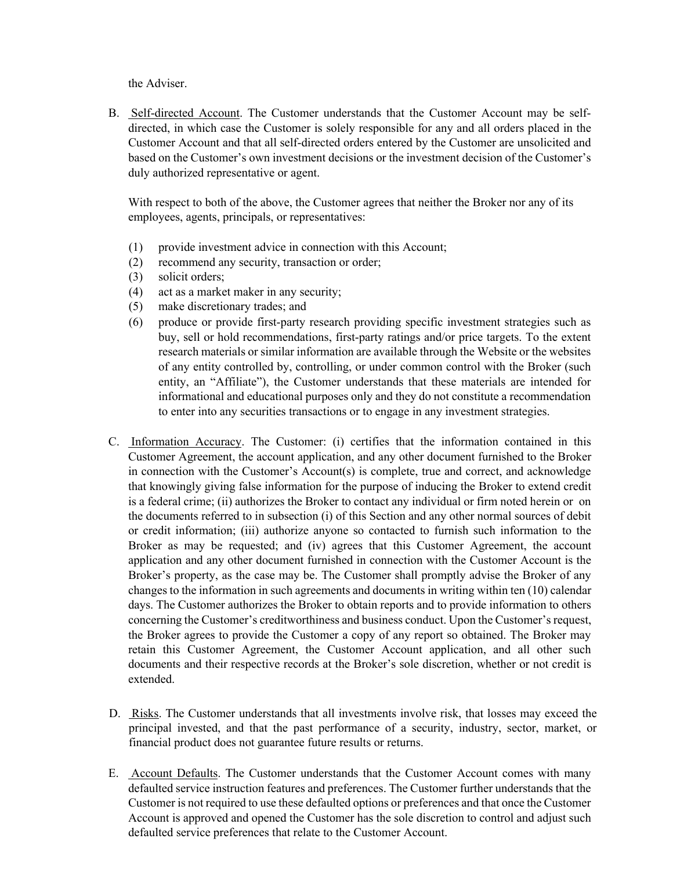the Adviser.

B. Self-directed Account. The Customer understands that the Customer Account may be selfdirected, in which case the Customer is solely responsible for any and all orders placed in the Customer Account and that all self-directed orders entered by the Customer are unsolicited and based on the Customer's own investment decisions or the investment decision of the Customer's duly authorized representative or agent.

With respect to both of the above, the Customer agrees that neither the Broker nor any of its employees, agents, principals, or representatives:

- (1) provide investment advice in connection with this Account;
- (2) recommend any security, transaction or order;
- (3) solicit orders;
- (4) act as a market maker in any security;
- (5) make discretionary trades; and
- (6) produce or provide first-party research providing specific investment strategies such as buy, sell or hold recommendations, first-party ratings and/or price targets. To the extent research materials or similar information are available through the Website or the websites of any entity controlled by, controlling, or under common control with the Broker (such entity, an "Affiliate"), the Customer understands that these materials are intended for informational and educational purposes only and they do not constitute a recommendation to enter into any securities transactions or to engage in any investment strategies.
- C. Information Accuracy. The Customer: (i) certifies that the information contained in this Customer Agreement, the account application, and any other document furnished to the Broker in connection with the Customer's Account(s) is complete, true and correct, and acknowledge that knowingly giving false information for the purpose of inducing the Broker to extend credit is a federal crime; (ii) authorizes the Broker to contact any individual or firm noted herein or on the documents referred to in subsection (i) of this Section and any other normal sources of debit or credit information; (iii) authorize anyone so contacted to furnish such information to the Broker as may be requested; and (iv) agrees that this Customer Agreement, the account application and any other document furnished in connection with the Customer Account is the Broker's property, as the case may be. The Customer shall promptly advise the Broker of any changes to the information in such agreements and documents in writing within ten (10) calendar days. The Customer authorizes the Broker to obtain reports and to provide information to others concerning the Customer's creditworthiness and business conduct. Upon the Customer's request, the Broker agrees to provide the Customer a copy of any report so obtained. The Broker may retain this Customer Agreement, the Customer Account application, and all other such documents and their respective records at the Broker's sole discretion, whether or not credit is extended.
- D. Risks. The Customer understands that all investments involve risk, that losses may exceed the principal invested, and that the past performance of a security, industry, sector, market, or financial product does not guarantee future results or returns.
- E. Account Defaults. The Customer understands that the Customer Account comes with many defaulted service instruction features and preferences. The Customer further understands that the Customer is not required to use these defaulted options or preferences and that once the Customer Account is approved and opened the Customer has the sole discretion to control and adjust such defaulted service preferences that relate to the Customer Account.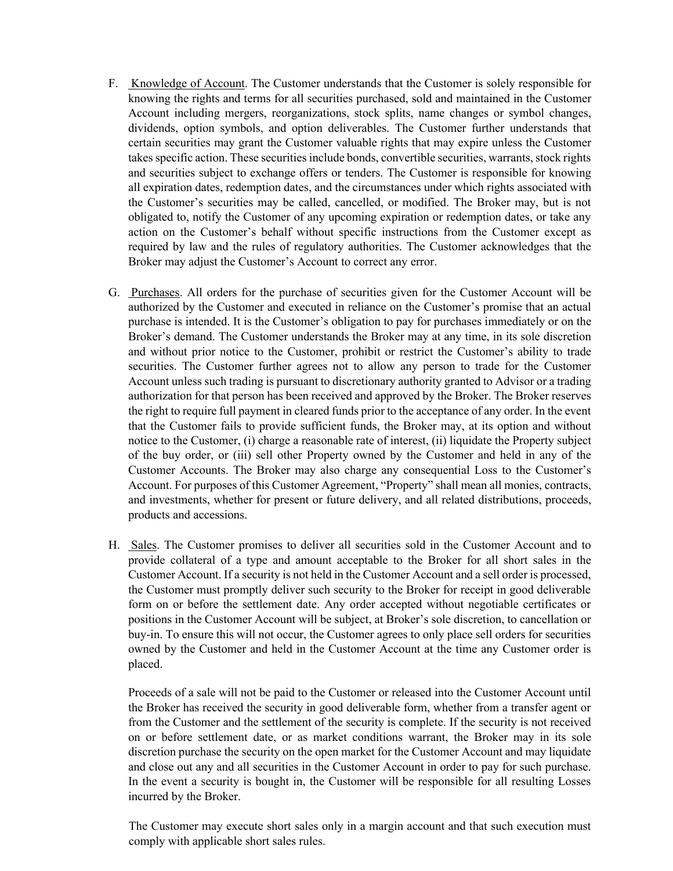- F. Knowledge of Account. The Customer understands that the Customer is solely responsible for knowing the rights and terms for all securities purchased, sold and maintained in the Customer Account including mergers, reorganizations, stock splits, name changes or symbol changes, dividends, option symbols, and option deliverables. The Customer further understands that certain securities may grant the Customer valuable rights that may expire unless the Customer takes specific action. These securities include bonds, convertible securities, warrants, stock rights and securities subject to exchange offers or tenders. The Customer is responsible for knowing all expiration dates, redemption dates, and the circumstances under which rights associated with the Customer's securities may be called, cancelled, or modified. The Broker may, but is not obligated to, notify the Customer of any upcoming expiration or redemption dates, or take any action on the Customer's behalf without specific instructions from the Customer except as required by law and the rules of regulatory authorities. The Customer acknowledges that the Broker may adjust the Customer's Account to correct any error.
- G. Purchases. All orders for the purchase of securities given for the Customer Account will be authorized by the Customer and executed in reliance on the Customer's promise that an actual purchase is intended. It is the Customer's obligation to pay for purchases immediately or on the Broker's demand. The Customer understands the Broker may at any time, in its sole discretion and without prior notice to the Customer, prohibit or restrict the Customer's ability to trade securities. The Customer further agrees not to allow any person to trade for the Customer Account unless such trading is pursuant to discretionary authority granted to Advisor or a trading authorization for that person has been received and approved by the Broker. The Broker reserves the right to require full payment in cleared funds prior to the acceptance of any order. In the event that the Customer fails to provide sufficient funds, the Broker may, at its option and without notice to the Customer, (i) charge a reasonable rate of interest, (ii) liquidate the Property subject of the buy order, or (iii) sell other Property owned by the Customer and held in any of the Customer Accounts. The Broker may also charge any consequential Loss to the Customer's Account. For purposes of this Customer Agreement, "Property" shall mean all monies, contracts, and investments, whether for present or future delivery, and all related distributions, proceeds, products and accessions.
- H. Sales. The Customer promises to deliver all securities sold in the Customer Account and to provide collateral of a type and amount acceptable to the Broker for all short sales in the Customer Account. If a security is not held in the Customer Account and a sell order is processed, the Customer must promptly deliver such security to the Broker for receipt in good deliverable form on or before the settlement date. Any order accepted without negotiable certificates or positions in the Customer Account will be subject, at Broker's sole discretion, to cancellation or buy-in. To ensure this will not occur, the Customer agrees to only place sell orders for securities owned by the Customer and held in the Customer Account at the time any Customer order is placed.

Proceeds of a sale will not be paid to the Customer or released into the Customer Account until the Broker has received the security in good deliverable form, whether from a transfer agent or from the Customer and the settlement of the security is complete. If the security is not received on or before settlement date, or as market conditions warrant, the Broker may in its sole discretion purchase the security on the open market for the Customer Account and may liquidate and close out any and all securities in the Customer Account in order to pay for such purchase. In the event a security is bought in, the Customer will be responsible for all resulting Losses incurred by the Broker.

The Customer may execute short sales only in a margin account and that such execution must comply with applicable short sales rules.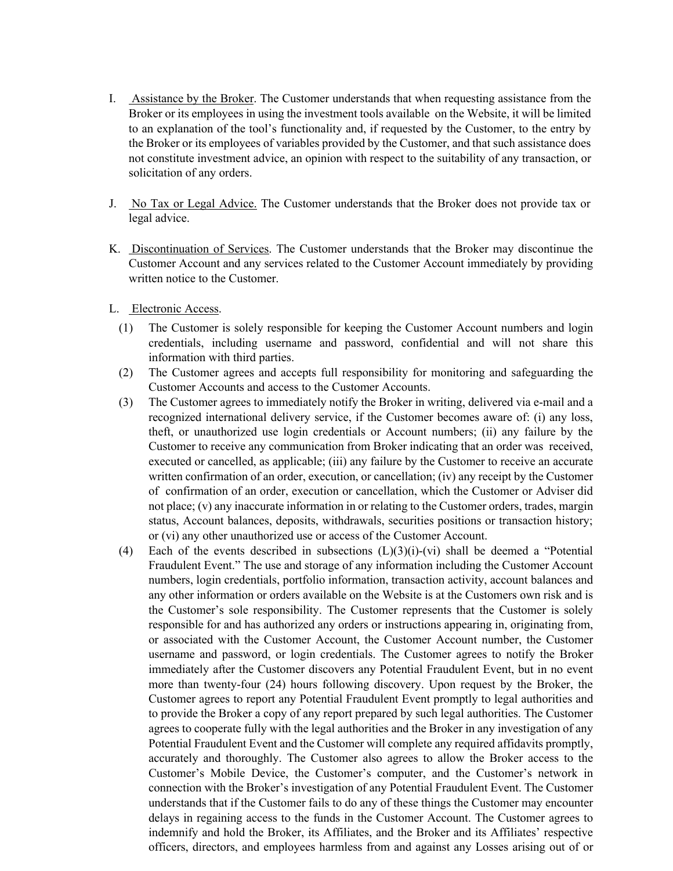- I. Assistance by the Broker. The Customer understands that when requesting assistance from the Broker or its employees in using the investment tools available on the Website, it will be limited to an explanation of the tool's functionality and, if requested by the Customer, to the entry by the Broker or its employees of variables provided by the Customer, and that such assistance does not constitute investment advice, an opinion with respect to the suitability of any transaction, or solicitation of any orders.
- J. No Tax or Legal Advice. The Customer understands that the Broker does not provide tax or legal advice.
- K. Discontinuation of Services. The Customer understands that the Broker may discontinue the Customer Account and any services related to the Customer Account immediately by providing written notice to the Customer.
- L. Electronic Access.
	- (1) The Customer is solely responsible for keeping the Customer Account numbers and login credentials, including username and password, confidential and will not share this information with third parties.
	- (2) The Customer agrees and accepts full responsibility for monitoring and safeguarding the Customer Accounts and access to the Customer Accounts.
	- (3) The Customer agrees to immediately notify the Broker in writing, delivered via e-mail and a recognized international delivery service, if the Customer becomes aware of: (i) any loss, theft, or unauthorized use login credentials or Account numbers; (ii) any failure by the Customer to receive any communication from Broker indicating that an order was received, executed or cancelled, as applicable; (iii) any failure by the Customer to receive an accurate written confirmation of an order, execution, or cancellation; (iv) any receipt by the Customer of confirmation of an order, execution or cancellation, which the Customer or Adviser did not place; (v) any inaccurate information in or relating to the Customer orders, trades, margin status, Account balances, deposits, withdrawals, securities positions or transaction history; or (vi) any other unauthorized use or access of the Customer Account.
	- (4) Each of the events described in subsections  $(L)(3)(i)-(vi)$  shall be deemed a "Potential" Fraudulent Event." The use and storage of any information including the Customer Account numbers, login credentials, portfolio information, transaction activity, account balances and any other information or orders available on the Website is at the Customers own risk and is the Customer's sole responsibility. The Customer represents that the Customer is solely responsible for and has authorized any orders or instructions appearing in, originating from, or associated with the Customer Account, the Customer Account number, the Customer username and password, or login credentials. The Customer agrees to notify the Broker immediately after the Customer discovers any Potential Fraudulent Event, but in no event more than twenty-four (24) hours following discovery. Upon request by the Broker, the Customer agrees to report any Potential Fraudulent Event promptly to legal authorities and to provide the Broker a copy of any report prepared by such legal authorities. The Customer agrees to cooperate fully with the legal authorities and the Broker in any investigation of any Potential Fraudulent Event and the Customer will complete any required affidavits promptly, accurately and thoroughly. The Customer also agrees to allow the Broker access to the Customer's Mobile Device, the Customer's computer, and the Customer's network in connection with the Broker's investigation of any Potential Fraudulent Event. The Customer understands that if the Customer fails to do any of these things the Customer may encounter delays in regaining access to the funds in the Customer Account. The Customer agrees to indemnify and hold the Broker, its Affiliates, and the Broker and its Affiliates' respective officers, directors, and employees harmless from and against any Losses arising out of or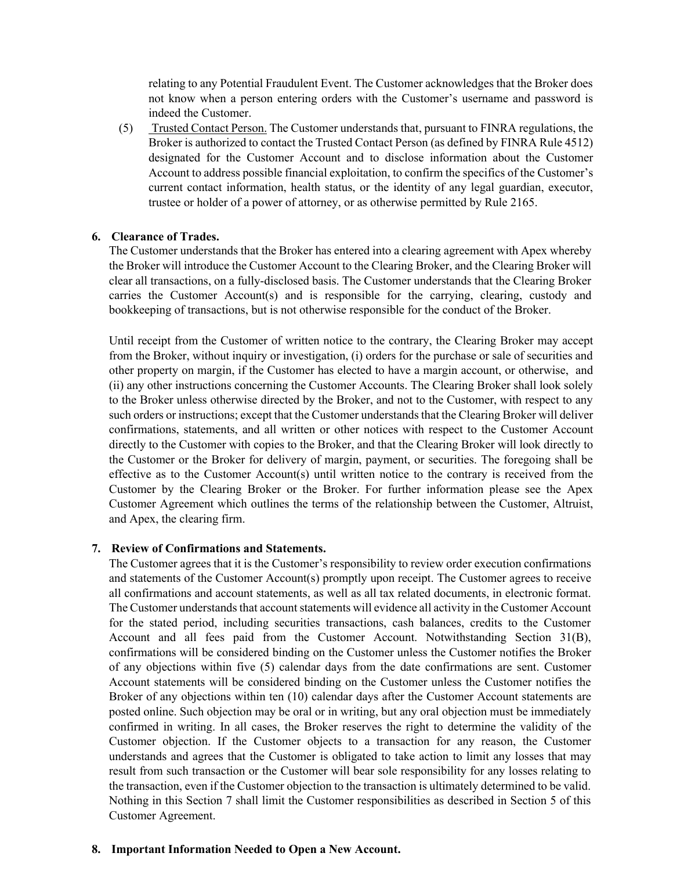relating to any Potential Fraudulent Event. The Customer acknowledges that the Broker does not know when a person entering orders with the Customer's username and password is indeed the Customer.

(5) Trusted Contact Person. The Customer understands that, pursuant to FINRA regulations, the Broker is authorized to contact the Trusted Contact Person (as defined by FINRA Rule 4512) designated for the Customer Account and to disclose information about the Customer Account to address possible financial exploitation, to confirm the specifics of the Customer's current contact information, health status, or the identity of any legal guardian, executor, trustee or holder of a power of attorney, or as otherwise permitted by Rule 2165.

### **6. Clearance of Trades.**

The Customer understands that the Broker has entered into a clearing agreement with Apex whereby the Broker will introduce the Customer Account to the Clearing Broker, and the Clearing Broker will clear all transactions, on a fully-disclosed basis. The Customer understands that the Clearing Broker carries the Customer Account(s) and is responsible for the carrying, clearing, custody and bookkeeping of transactions, but is not otherwise responsible for the conduct of the Broker.

Until receipt from the Customer of written notice to the contrary, the Clearing Broker may accept from the Broker, without inquiry or investigation, (i) orders for the purchase or sale of securities and other property on margin, if the Customer has elected to have a margin account, or otherwise, and (ii) any other instructions concerning the Customer Accounts. The Clearing Broker shall look solely to the Broker unless otherwise directed by the Broker, and not to the Customer, with respect to any such orders or instructions; except that the Customer understands that the Clearing Broker will deliver confirmations, statements, and all written or other notices with respect to the Customer Account directly to the Customer with copies to the Broker, and that the Clearing Broker will look directly to the Customer or the Broker for delivery of margin, payment, or securities. The foregoing shall be effective as to the Customer Account(s) until written notice to the contrary is received from the Customer by the Clearing Broker or the Broker. For further information please see the Apex Customer Agreement which outlines the terms of the relationship between the Customer, Altruist, and Apex, the clearing firm.

#### **7. Review of Confirmations and Statements.**

The Customer agrees that it is the Customer's responsibility to review order execution confirmations and statements of the Customer Account(s) promptly upon receipt. The Customer agrees to receive all confirmations and account statements, as well as all tax related documents, in electronic format. The Customer understands that account statements will evidence all activity in the Customer Account for the stated period, including securities transactions, cash balances, credits to the Customer Account and all fees paid from the Customer Account. Notwithstanding Section 31(B), confirmations will be considered binding on the Customer unless the Customer notifies the Broker of any objections within five (5) calendar days from the date confirmations are sent. Customer Account statements will be considered binding on the Customer unless the Customer notifies the Broker of any objections within ten (10) calendar days after the Customer Account statements are posted online. Such objection may be oral or in writing, but any oral objection must be immediately confirmed in writing. In all cases, the Broker reserves the right to determine the validity of the Customer objection. If the Customer objects to a transaction for any reason, the Customer understands and agrees that the Customer is obligated to take action to limit any losses that may result from such transaction or the Customer will bear sole responsibility for any losses relating to the transaction, even if the Customer objection to the transaction is ultimately determined to be valid. Nothing in this Section 7 shall limit the Customer responsibilities as described in Section 5 of this Customer Agreement.

### **8. Important Information Needed to Open a New Account.**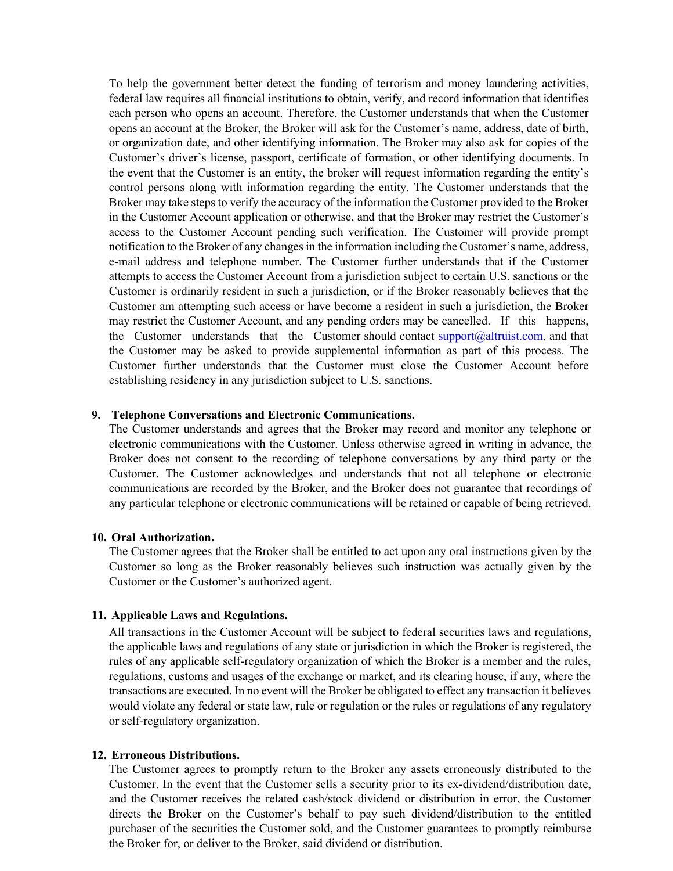To help the government better detect the funding of terrorism and money laundering activities, federal law requires all financial institutions to obtain, verify, and record information that identifies each person who opens an account. Therefore, the Customer understands that when the Customer opens an account at the Broker, the Broker will ask for the Customer's name, address, date of birth, or organization date, and other identifying information. The Broker may also ask for copies of the Customer's driver's license, passport, certificate of formation, or other identifying documents. In the event that the Customer is an entity, the broker will request information regarding the entity's control persons along with information regarding the entity. The Customer understands that the Broker may take steps to verify the accuracy of the information the Customer provided to the Broker in the Customer Account application or otherwise, and that the Broker may restrict the Customer's access to the Customer Account pending such verification. The Customer will provide prompt notification to the Broker of any changes in the information including the Customer's name, address, e-mail address and telephone number. The Customer further understands that if the Customer attempts to access the Customer Account from a jurisdiction subject to certain U.S. sanctions or the Customer is ordinarily resident in such a jurisdiction, or if the Broker reasonably believes that the Customer am attempting such access or have become a resident in such a jurisdiction, the Broker may restrict the Customer Account, and any pending orders may be cancelled. If this happens, the Customer understands that the Customer should contact support $@$ altruist.com, and that the Customer may be asked to provide supplemental information as part of this process. The Customer further understands that the Customer must close the Customer Account before establishing residency in any jurisdiction subject to U.S. sanctions.

#### **9. Telephone Conversations and Electronic Communications.**

The Customer understands and agrees that the Broker may record and monitor any telephone or electronic communications with the Customer. Unless otherwise agreed in writing in advance, the Broker does not consent to the recording of telephone conversations by any third party or the Customer. The Customer acknowledges and understands that not all telephone or electronic communications are recorded by the Broker, and the Broker does not guarantee that recordings of any particular telephone or electronic communications will be retained or capable of being retrieved.

### **10. Oral Authorization.**

The Customer agrees that the Broker shall be entitled to act upon any oral instructions given by the Customer so long as the Broker reasonably believes such instruction was actually given by the Customer or the Customer's authorized agent.

#### **11. Applicable Laws and Regulations.**

All transactions in the Customer Account will be subject to federal securities laws and regulations, the applicable laws and regulations of any state or jurisdiction in which the Broker is registered, the rules of any applicable self-regulatory organization of which the Broker is a member and the rules, regulations, customs and usages of the exchange or market, and its clearing house, if any, where the transactions are executed. In no event will the Broker be obligated to effect any transaction it believes would violate any federal or state law, rule or regulation or the rules or regulations of any regulatory or self-regulatory organization.

#### **12. Erroneous Distributions.**

The Customer agrees to promptly return to the Broker any assets erroneously distributed to the Customer. In the event that the Customer sells a security prior to its ex-dividend/distribution date, and the Customer receives the related cash/stock dividend or distribution in error, the Customer directs the Broker on the Customer's behalf to pay such dividend/distribution to the entitled purchaser of the securities the Customer sold, and the Customer guarantees to promptly reimburse the Broker for, or deliver to the Broker, said dividend or distribution.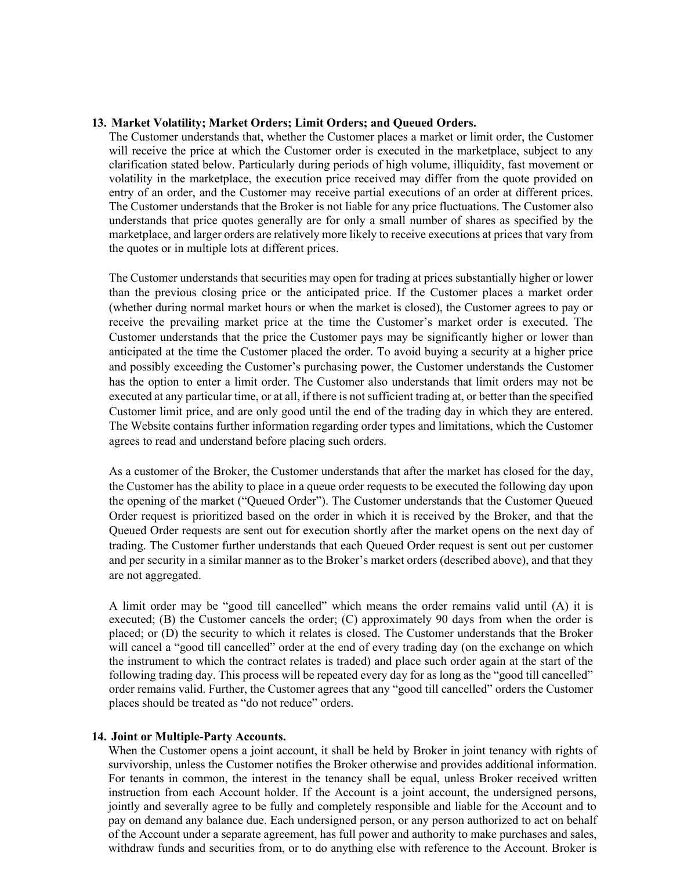#### **13. Market Volatility; Market Orders; Limit Orders; and Queued Orders.**

The Customer understands that, whether the Customer places a market or limit order, the Customer will receive the price at which the Customer order is executed in the marketplace, subject to any clarification stated below. Particularly during periods of high volume, illiquidity, fast movement or volatility in the marketplace, the execution price received may differ from the quote provided on entry of an order, and the Customer may receive partial executions of an order at different prices. The Customer understands that the Broker is not liable for any price fluctuations. The Customer also understands that price quotes generally are for only a small number of shares as specified by the marketplace, and larger orders are relatively more likely to receive executions at prices that vary from the quotes or in multiple lots at different prices.

The Customer understands that securities may open for trading at prices substantially higher or lower than the previous closing price or the anticipated price. If the Customer places a market order (whether during normal market hours or when the market is closed), the Customer agrees to pay or receive the prevailing market price at the time the Customer's market order is executed. The Customer understands that the price the Customer pays may be significantly higher or lower than anticipated at the time the Customer placed the order. To avoid buying a security at a higher price and possibly exceeding the Customer's purchasing power, the Customer understands the Customer has the option to enter a limit order. The Customer also understands that limit orders may not be executed at any particular time, or at all, if there is not sufficient trading at, or better than the specified Customer limit price, and are only good until the end of the trading day in which they are entered. The Website contains further information regarding order types and limitations, which the Customer agrees to read and understand before placing such orders.

As a customer of the Broker, the Customer understands that after the market has closed for the day, the Customer has the ability to place in a queue order requests to be executed the following day upon the opening of the market ("Queued Order"). The Customer understands that the Customer Queued Order request is prioritized based on the order in which it is received by the Broker, and that the Queued Order requests are sent out for execution shortly after the market opens on the next day of trading. The Customer further understands that each Queued Order request is sent out per customer and per security in a similar manner as to the Broker's market orders (described above), and that they are not aggregated.

A limit order may be "good till cancelled" which means the order remains valid until (A) it is executed; (B) the Customer cancels the order; (C) approximately 90 days from when the order is placed; or (D) the security to which it relates is closed. The Customer understands that the Broker will cancel a "good till cancelled" order at the end of every trading day (on the exchange on which the instrument to which the contract relates is traded) and place such order again at the start of the following trading day. This process will be repeated every day for as long as the "good till cancelled" order remains valid. Further, the Customer agrees that any "good till cancelled" orders the Customer places should be treated as "do not reduce" orders.

#### **14. Joint or Multiple-Party Accounts.**

When the Customer opens a joint account, it shall be held by Broker in joint tenancy with rights of survivorship, unless the Customer notifies the Broker otherwise and provides additional information. For tenants in common, the interest in the tenancy shall be equal, unless Broker received written instruction from each Account holder. If the Account is a joint account, the undersigned persons, jointly and severally agree to be fully and completely responsible and liable for the Account and to pay on demand any balance due. Each undersigned person, or any person authorized to act on behalf of the Account under a separate agreement, has full power and authority to make purchases and sales, withdraw funds and securities from, or to do anything else with reference to the Account. Broker is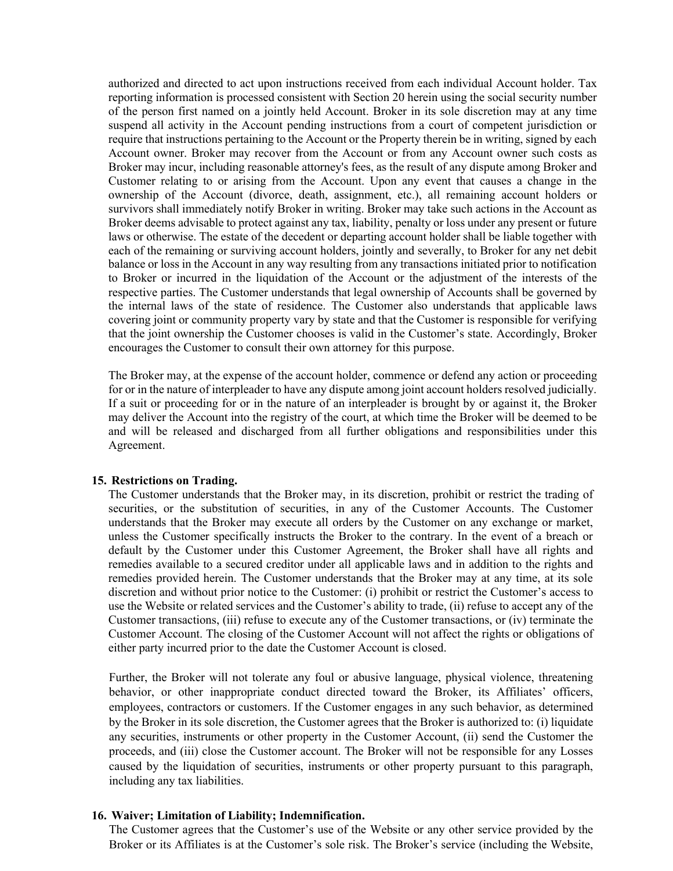authorized and directed to act upon instructions received from each individual Account holder. Tax reporting information is processed consistent with Section 20 herein using the social security number of the person first named on a jointly held Account. Broker in its sole discretion may at any time suspend all activity in the Account pending instructions from a court of competent jurisdiction or require that instructions pertaining to the Account or the Property therein be in writing, signed by each Account owner. Broker may recover from the Account or from any Account owner such costs as Broker may incur, including reasonable attorney's fees, as the result of any dispute among Broker and Customer relating to or arising from the Account. Upon any event that causes a change in the ownership of the Account (divorce, death, assignment, etc.), all remaining account holders or survivors shall immediately notify Broker in writing. Broker may take such actions in the Account as Broker deems advisable to protect against any tax, liability, penalty or loss under any present or future laws or otherwise. The estate of the decedent or departing account holder shall be liable together with each of the remaining or surviving account holders, jointly and severally, to Broker for any net debit balance or loss in the Account in any way resulting from any transactions initiated prior to notification to Broker or incurred in the liquidation of the Account or the adjustment of the interests of the respective parties. The Customer understands that legal ownership of Accounts shall be governed by the internal laws of the state of residence. The Customer also understands that applicable laws covering joint or community property vary by state and that the Customer is responsible for verifying that the joint ownership the Customer chooses is valid in the Customer's state. Accordingly, Broker encourages the Customer to consult their own attorney for this purpose.

The Broker may, at the expense of the account holder, commence or defend any action or proceeding for or in the nature of interpleader to have any dispute among joint account holders resolved judicially. If a suit or proceeding for or in the nature of an interpleader is brought by or against it, the Broker may deliver the Account into the registry of the court, at which time the Broker will be deemed to be and will be released and discharged from all further obligations and responsibilities under this Agreement.

#### **15. Restrictions on Trading.**

The Customer understands that the Broker may, in its discretion, prohibit or restrict the trading of securities, or the substitution of securities, in any of the Customer Accounts. The Customer understands that the Broker may execute all orders by the Customer on any exchange or market, unless the Customer specifically instructs the Broker to the contrary. In the event of a breach or default by the Customer under this Customer Agreement, the Broker shall have all rights and remedies available to a secured creditor under all applicable laws and in addition to the rights and remedies provided herein. The Customer understands that the Broker may at any time, at its sole discretion and without prior notice to the Customer: (i) prohibit or restrict the Customer's access to use the Website or related services and the Customer's ability to trade, (ii) refuse to accept any of the Customer transactions, (iii) refuse to execute any of the Customer transactions, or (iv) terminate the Customer Account. The closing of the Customer Account will not affect the rights or obligations of either party incurred prior to the date the Customer Account is closed.

Further, the Broker will not tolerate any foul or abusive language, physical violence, threatening behavior, or other inappropriate conduct directed toward the Broker, its Affiliates' officers, employees, contractors or customers. If the Customer engages in any such behavior, as determined by the Broker in its sole discretion, the Customer agrees that the Broker is authorized to: (i) liquidate any securities, instruments or other property in the Customer Account, (ii) send the Customer the proceeds, and (iii) close the Customer account. The Broker will not be responsible for any Losses caused by the liquidation of securities, instruments or other property pursuant to this paragraph, including any tax liabilities.

### **16. Waiver; Limitation of Liability; Indemnification.**

The Customer agrees that the Customer's use of the Website or any other service provided by the Broker or its Affiliates is at the Customer's sole risk. The Broker's service (including the Website,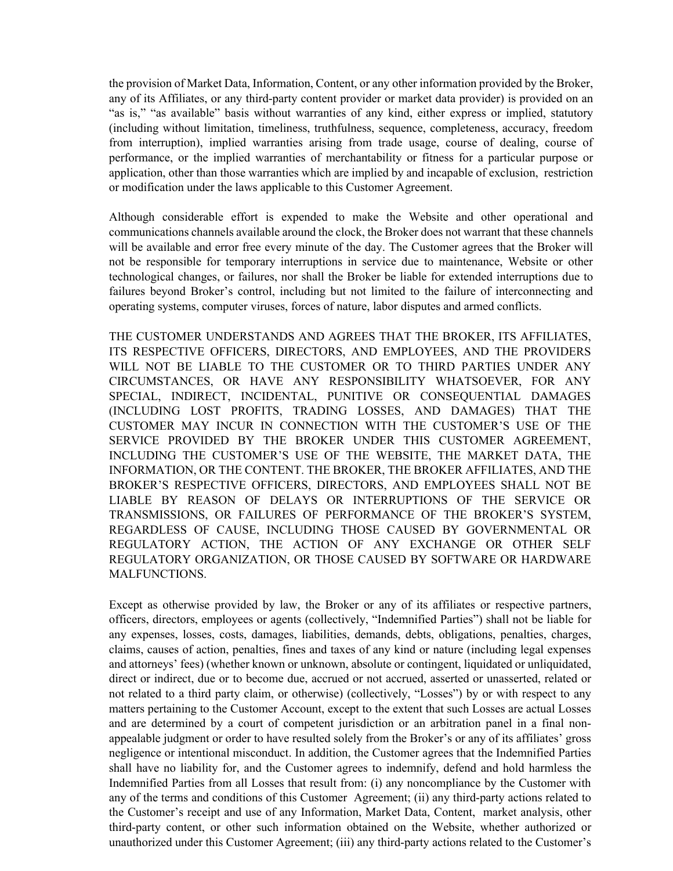the provision of Market Data, Information, Content, or any other information provided by the Broker, any of its Affiliates, or any third-party content provider or market data provider) is provided on an "as is," "as available" basis without warranties of any kind, either express or implied, statutory (including without limitation, timeliness, truthfulness, sequence, completeness, accuracy, freedom from interruption), implied warranties arising from trade usage, course of dealing, course of performance, or the implied warranties of merchantability or fitness for a particular purpose or application, other than those warranties which are implied by and incapable of exclusion, restriction or modification under the laws applicable to this Customer Agreement.

Although considerable effort is expended to make the Website and other operational and communications channels available around the clock, the Broker does not warrant that these channels will be available and error free every minute of the day. The Customer agrees that the Broker will not be responsible for temporary interruptions in service due to maintenance, Website or other technological changes, or failures, nor shall the Broker be liable for extended interruptions due to failures beyond Broker's control, including but not limited to the failure of interconnecting and operating systems, computer viruses, forces of nature, labor disputes and armed conflicts.

THE CUSTOMER UNDERSTANDS AND AGREES THAT THE BROKER, ITS AFFILIATES, ITS RESPECTIVE OFFICERS, DIRECTORS, AND EMPLOYEES, AND THE PROVIDERS WILL NOT BE LIABLE TO THE CUSTOMER OR TO THIRD PARTIES UNDER ANY CIRCUMSTANCES, OR HAVE ANY RESPONSIBILITY WHATSOEVER, FOR ANY SPECIAL, INDIRECT, INCIDENTAL, PUNITIVE OR CONSEQUENTIAL DAMAGES (INCLUDING LOST PROFITS, TRADING LOSSES, AND DAMAGES) THAT THE CUSTOMER MAY INCUR IN CONNECTION WITH THE CUSTOMER'S USE OF THE SERVICE PROVIDED BY THE BROKER UNDER THIS CUSTOMER AGREEMENT, INCLUDING THE CUSTOMER'S USE OF THE WEBSITE, THE MARKET DATA, THE INFORMATION, OR THE CONTENT. THE BROKER, THE BROKER AFFILIATES, AND THE BROKER'S RESPECTIVE OFFICERS, DIRECTORS, AND EMPLOYEES SHALL NOT BE LIABLE BY REASON OF DELAYS OR INTERRUPTIONS OF THE SERVICE OR TRANSMISSIONS, OR FAILURES OF PERFORMANCE OF THE BROKER'S SYSTEM, REGARDLESS OF CAUSE, INCLUDING THOSE CAUSED BY GOVERNMENTAL OR REGULATORY ACTION, THE ACTION OF ANY EXCHANGE OR OTHER SELF REGULATORY ORGANIZATION, OR THOSE CAUSED BY SOFTWARE OR HARDWARE MALFUNCTIONS.

Except as otherwise provided by law, the Broker or any of its affiliates or respective partners, officers, directors, employees or agents (collectively, "Indemnified Parties") shall not be liable for any expenses, losses, costs, damages, liabilities, demands, debts, obligations, penalties, charges, claims, causes of action, penalties, fines and taxes of any kind or nature (including legal expenses and attorneys' fees) (whether known or unknown, absolute or contingent, liquidated or unliquidated, direct or indirect, due or to become due, accrued or not accrued, asserted or unasserted, related or not related to a third party claim, or otherwise) (collectively, "Losses") by or with respect to any matters pertaining to the Customer Account, except to the extent that such Losses are actual Losses and are determined by a court of competent jurisdiction or an arbitration panel in a final nonappealable judgment or order to have resulted solely from the Broker's or any of its affiliates' gross negligence or intentional misconduct. In addition, the Customer agrees that the Indemnified Parties shall have no liability for, and the Customer agrees to indemnify, defend and hold harmless the Indemnified Parties from all Losses that result from: (i) any noncompliance by the Customer with any of the terms and conditions of this Customer Agreement; (ii) any third-party actions related to the Customer's receipt and use of any Information, Market Data, Content, market analysis, other third-party content, or other such information obtained on the Website, whether authorized or unauthorized under this Customer Agreement; (iii) any third-party actions related to the Customer's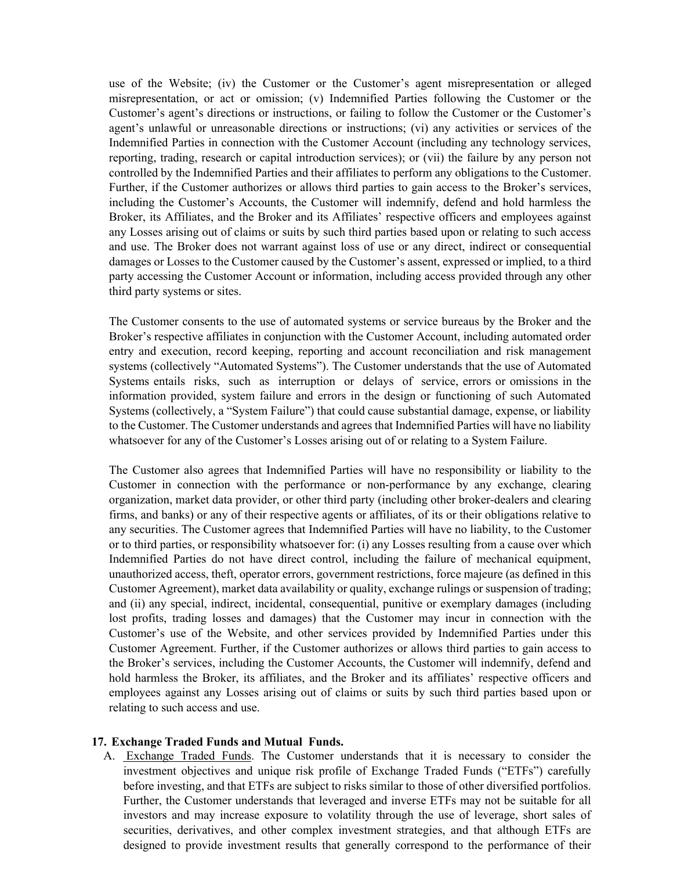use of the Website; (iv) the Customer or the Customer's agent misrepresentation or alleged misrepresentation, or act or omission; (v) Indemnified Parties following the Customer or the Customer's agent's directions or instructions, or failing to follow the Customer or the Customer's agent's unlawful or unreasonable directions or instructions; (vi) any activities or services of the Indemnified Parties in connection with the Customer Account (including any technology services, reporting, trading, research or capital introduction services); or (vii) the failure by any person not controlled by the Indemnified Parties and their affiliates to perform any obligations to the Customer. Further, if the Customer authorizes or allows third parties to gain access to the Broker's services, including the Customer's Accounts, the Customer will indemnify, defend and hold harmless the Broker, its Affiliates, and the Broker and its Affiliates' respective officers and employees against any Losses arising out of claims or suits by such third parties based upon or relating to such access and use. The Broker does not warrant against loss of use or any direct, indirect or consequential damages or Losses to the Customer caused by the Customer's assent, expressed or implied, to a third party accessing the Customer Account or information, including access provided through any other third party systems or sites.

The Customer consents to the use of automated systems or service bureaus by the Broker and the Broker's respective affiliates in conjunction with the Customer Account, including automated order entry and execution, record keeping, reporting and account reconciliation and risk management systems (collectively "Automated Systems"). The Customer understands that the use of Automated Systems entails risks, such as interruption or delays of service, errors or omissions in the information provided, system failure and errors in the design or functioning of such Automated Systems (collectively, a "System Failure") that could cause substantial damage, expense, or liability to the Customer. The Customer understands and agrees that Indemnified Parties will have no liability whatsoever for any of the Customer's Losses arising out of or relating to a System Failure.

The Customer also agrees that Indemnified Parties will have no responsibility or liability to the Customer in connection with the performance or non-performance by any exchange, clearing organization, market data provider, or other third party (including other broker-dealers and clearing firms, and banks) or any of their respective agents or affiliates, of its or their obligations relative to any securities. The Customer agrees that Indemnified Parties will have no liability, to the Customer or to third parties, or responsibility whatsoever for: (i) any Losses resulting from a cause over which Indemnified Parties do not have direct control, including the failure of mechanical equipment, unauthorized access, theft, operator errors, government restrictions, force majeure (as defined in this Customer Agreement), market data availability or quality, exchange rulings or suspension of trading; and (ii) any special, indirect, incidental, consequential, punitive or exemplary damages (including lost profits, trading losses and damages) that the Customer may incur in connection with the Customer's use of the Website, and other services provided by Indemnified Parties under this Customer Agreement. Further, if the Customer authorizes or allows third parties to gain access to the Broker's services, including the Customer Accounts, the Customer will indemnify, defend and hold harmless the Broker, its affiliates, and the Broker and its affiliates' respective officers and employees against any Losses arising out of claims or suits by such third parties based upon or relating to such access and use.

#### **17. Exchange Traded Funds and Mutual Funds.**

A. Exchange Traded Funds. The Customer understands that it is necessary to consider the investment objectives and unique risk profile of Exchange Traded Funds ("ETFs") carefully before investing, and that ETFs are subject to risks similar to those of other diversified portfolios. Further, the Customer understands that leveraged and inverse ETFs may not be suitable for all investors and may increase exposure to volatility through the use of leverage, short sales of securities, derivatives, and other complex investment strategies, and that although ETFs are designed to provide investment results that generally correspond to the performance of their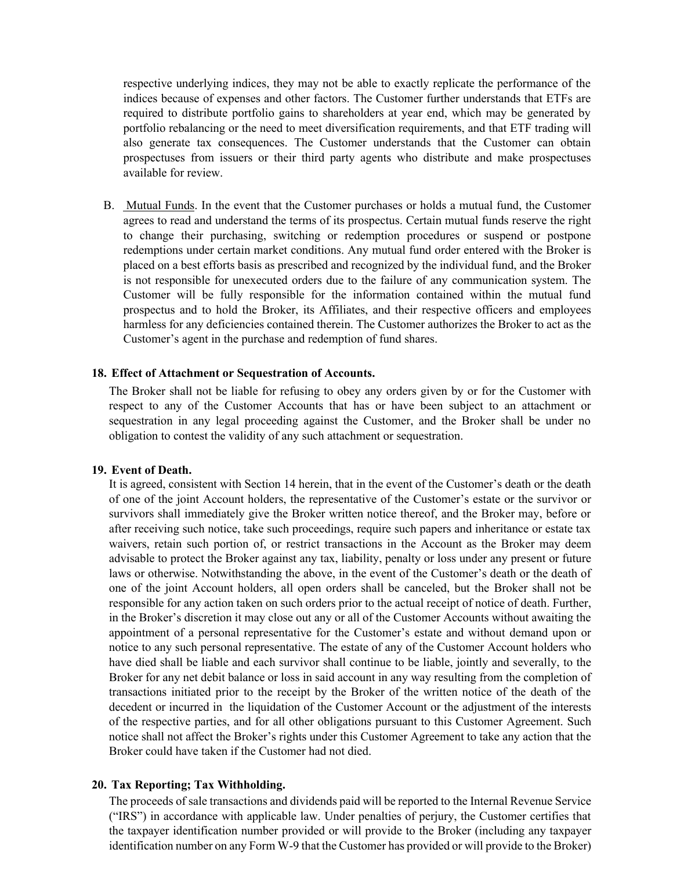respective underlying indices, they may not be able to exactly replicate the performance of the indices because of expenses and other factors. The Customer further understands that ETFs are required to distribute portfolio gains to shareholders at year end, which may be generated by portfolio rebalancing or the need to meet diversification requirements, and that ETF trading will also generate tax consequences. The Customer understands that the Customer can obtain prospectuses from issuers or their third party agents who distribute and make prospectuses available for review.

B. Mutual Funds. In the event that the Customer purchases or holds a mutual fund, the Customer agrees to read and understand the terms of its prospectus. Certain mutual funds reserve the right to change their purchasing, switching or redemption procedures or suspend or postpone redemptions under certain market conditions. Any mutual fund order entered with the Broker is placed on a best efforts basis as prescribed and recognized by the individual fund, and the Broker is not responsible for unexecuted orders due to the failure of any communication system. The Customer will be fully responsible for the information contained within the mutual fund prospectus and to hold the Broker, its Affiliates, and their respective officers and employees harmless for any deficiencies contained therein. The Customer authorizes the Broker to act as the Customer's agent in the purchase and redemption of fund shares.

#### **18. Effect of Attachment or Sequestration of Accounts.**

The Broker shall not be liable for refusing to obey any orders given by or for the Customer with respect to any of the Customer Accounts that has or have been subject to an attachment or sequestration in any legal proceeding against the Customer, and the Broker shall be under no obligation to contest the validity of any such attachment or sequestration.

#### **19. Event of Death.**

It is agreed, consistent with Section 14 herein, that in the event of the Customer's death or the death of one of the joint Account holders, the representative of the Customer's estate or the survivor or survivors shall immediately give the Broker written notice thereof, and the Broker may, before or after receiving such notice, take such proceedings, require such papers and inheritance or estate tax waivers, retain such portion of, or restrict transactions in the Account as the Broker may deem advisable to protect the Broker against any tax, liability, penalty or loss under any present or future laws or otherwise. Notwithstanding the above, in the event of the Customer's death or the death of one of the joint Account holders, all open orders shall be canceled, but the Broker shall not be responsible for any action taken on such orders prior to the actual receipt of notice of death. Further, in the Broker's discretion it may close out any or all of the Customer Accounts without awaiting the appointment of a personal representative for the Customer's estate and without demand upon or notice to any such personal representative. The estate of any of the Customer Account holders who have died shall be liable and each survivor shall continue to be liable, jointly and severally, to the Broker for any net debit balance or loss in said account in any way resulting from the completion of transactions initiated prior to the receipt by the Broker of the written notice of the death of the decedent or incurred in the liquidation of the Customer Account or the adjustment of the interests of the respective parties, and for all other obligations pursuant to this Customer Agreement. Such notice shall not affect the Broker's rights under this Customer Agreement to take any action that the Broker could have taken if the Customer had not died.

### **20. Tax Reporting; Tax Withholding.**

The proceeds of sale transactions and dividends paid will be reported to the Internal Revenue Service ("IRS") in accordance with applicable law. Under penalties of perjury, the Customer certifies that the taxpayer identification number provided or will provide to the Broker (including any taxpayer identification number on any Form W-9 that the Customer has provided or will provide to the Broker)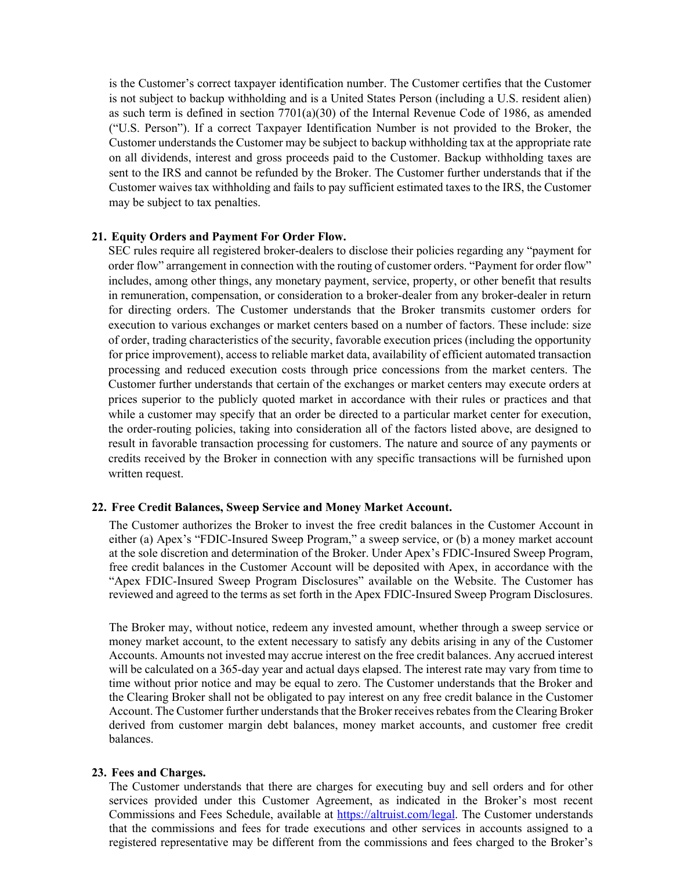is the Customer's correct taxpayer identification number. The Customer certifies that the Customer is not subject to backup withholding and is a United States Person (including a U.S. resident alien) as such term is defined in section 7701(a)(30) of the Internal Revenue Code of 1986, as amended ("U.S. Person"). If a correct Taxpayer Identification Number is not provided to the Broker, the Customer understands the Customer may be subject to backup withholding tax at the appropriate rate on all dividends, interest and gross proceeds paid to the Customer. Backup withholding taxes are sent to the IRS and cannot be refunded by the Broker. The Customer further understands that if the Customer waives tax withholding and fails to pay sufficient estimated taxes to the IRS, the Customer may be subject to tax penalties.

### **21. Equity Orders and Payment For Order Flow.**

SEC rules require all registered broker-dealers to disclose their policies regarding any "payment for order flow" arrangement in connection with the routing of customer orders. "Payment for order flow" includes, among other things, any monetary payment, service, property, or other benefit that results in remuneration, compensation, or consideration to a broker-dealer from any broker-dealer in return for directing orders. The Customer understands that the Broker transmits customer orders for execution to various exchanges or market centers based on a number of factors. These include: size of order, trading characteristics of the security, favorable execution prices (including the opportunity for price improvement), access to reliable market data, availability of efficient automated transaction processing and reduced execution costs through price concessions from the market centers. The Customer further understands that certain of the exchanges or market centers may execute orders at prices superior to the publicly quoted market in accordance with their rules or practices and that while a customer may specify that an order be directed to a particular market center for execution, the order-routing policies, taking into consideration all of the factors listed above, are designed to result in favorable transaction processing for customers. The nature and source of any payments or credits received by the Broker in connection with any specific transactions will be furnished upon written request.

#### **22. Free Credit Balances, Sweep Service and Money Market Account.**

The Customer authorizes the Broker to invest the free credit balances in the Customer Account in either (a) Apex's "FDIC-Insured Sweep Program," a sweep service, or (b) a money market account at the sole discretion and determination of the Broker. Under Apex's FDIC-Insured Sweep Program, free credit balances in the Customer Account will be deposited with Apex, in accordance with the "Apex FDIC-Insured Sweep Program Disclosures" available on the Website. The Customer has reviewed and agreed to the terms as set forth in the Apex FDIC-Insured Sweep Program Disclosures.

The Broker may, without notice, redeem any invested amount, whether through a sweep service or money market account, to the extent necessary to satisfy any debits arising in any of the Customer Accounts. Amounts not invested may accrue interest on the free credit balances. Any accrued interest will be calculated on a 365-day year and actual days elapsed. The interest rate may vary from time to time without prior notice and may be equal to zero. The Customer understands that the Broker and the Clearing Broker shall not be obligated to pay interest on any free credit balance in the Customer Account. The Customer further understands that the Broker receives rebates from the Clearing Broker derived from customer margin debt balances, money market accounts, and customer free credit balances.

#### **23. Fees and Charges.**

The Customer understands that there are charges for executing buy and sell orders and for other services provided under this Customer Agreement, as indicated in the Broker's most recent Commissions and Fees Schedule, available at https://altruist.com/legal. The Customer understands that the commissions and fees for trade executions and other services in accounts assigned to a registered representative may be different from the commissions and fees charged to the Broker's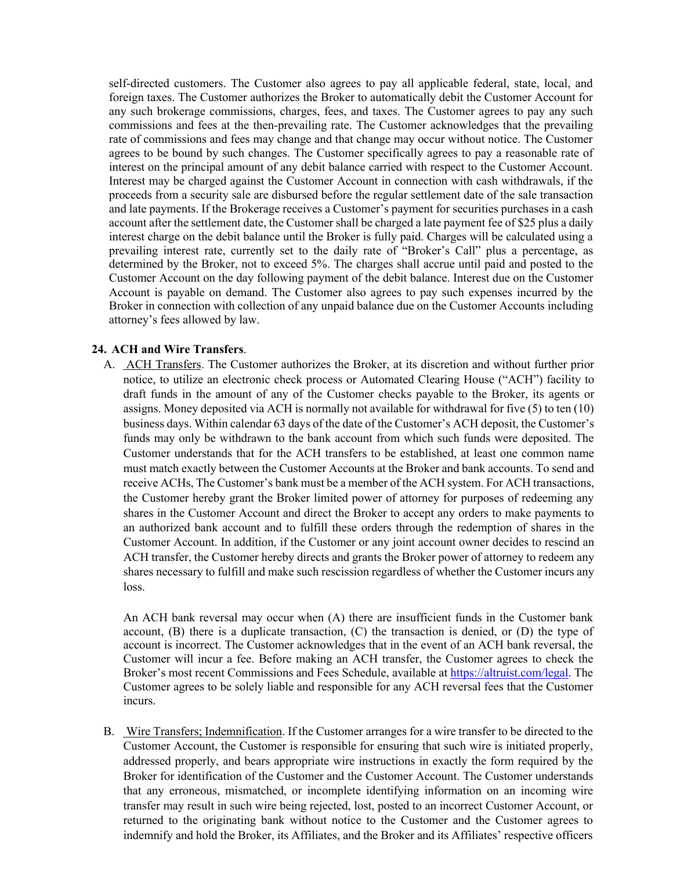self-directed customers. The Customer also agrees to pay all applicable federal, state, local, and foreign taxes. The Customer authorizes the Broker to automatically debit the Customer Account for any such brokerage commissions, charges, fees, and taxes. The Customer agrees to pay any such commissions and fees at the then-prevailing rate. The Customer acknowledges that the prevailing rate of commissions and fees may change and that change may occur without notice. The Customer agrees to be bound by such changes. The Customer specifically agrees to pay a reasonable rate of interest on the principal amount of any debit balance carried with respect to the Customer Account. Interest may be charged against the Customer Account in connection with cash withdrawals, if the proceeds from a security sale are disbursed before the regular settlement date of the sale transaction and late payments. If the Brokerage receives a Customer's payment for securities purchases in a cash account after the settlement date, the Customer shall be charged a late payment fee of \$25 plus a daily interest charge on the debit balance until the Broker is fully paid. Charges will be calculated using a prevailing interest rate, currently set to the daily rate of "Broker's Call" plus a percentage, as determined by the Broker, not to exceed 5%. The charges shall accrue until paid and posted to the Customer Account on the day following payment of the debit balance. Interest due on the Customer Account is payable on demand. The Customer also agrees to pay such expenses incurred by the Broker in connection with collection of any unpaid balance due on the Customer Accounts including attorney's fees allowed by law.

## **24. ACH and Wire Transfers**.

A. ACH Transfers. The Customer authorizes the Broker, at its discretion and without further prior notice, to utilize an electronic check process or Automated Clearing House ("ACH") facility to draft funds in the amount of any of the Customer checks payable to the Broker, its agents or assigns. Money deposited via ACH is normally not available for withdrawal for five (5) to ten (10) business days. Within calendar 63 days of the date of the Customer's ACH deposit, the Customer's funds may only be withdrawn to the bank account from which such funds were deposited. The Customer understands that for the ACH transfers to be established, at least one common name must match exactly between the Customer Accounts at the Broker and bank accounts. To send and receive ACHs, The Customer's bank must be a member of the ACH system. For ACH transactions, the Customer hereby grant the Broker limited power of attorney for purposes of redeeming any shares in the Customer Account and direct the Broker to accept any orders to make payments to an authorized bank account and to fulfill these orders through the redemption of shares in the Customer Account. In addition, if the Customer or any joint account owner decides to rescind an ACH transfer, the Customer hereby directs and grants the Broker power of attorney to redeem any shares necessary to fulfill and make such rescission regardless of whether the Customer incurs any loss.

An ACH bank reversal may occur when (A) there are insufficient funds in the Customer bank account,  $(B)$  there is a duplicate transaction,  $(C)$  the transaction is denied, or  $(D)$  the type of account is incorrect. The Customer acknowledges that in the event of an ACH bank reversal, the Customer will incur a fee. Before making an ACH transfer, the Customer agrees to check the Broker's most recent Commissions and Fees Schedule, available at https://altruist.com/legal. The Customer agrees to be solely liable and responsible for any ACH reversal fees that the Customer incurs.

B. Wire Transfers; Indemnification. If the Customer arranges for a wire transfer to be directed to the Customer Account, the Customer is responsible for ensuring that such wire is initiated properly, addressed properly, and bears appropriate wire instructions in exactly the form required by the Broker for identification of the Customer and the Customer Account. The Customer understands that any erroneous, mismatched, or incomplete identifying information on an incoming wire transfer may result in such wire being rejected, lost, posted to an incorrect Customer Account, or returned to the originating bank without notice to the Customer and the Customer agrees to indemnify and hold the Broker, its Affiliates, and the Broker and its Affiliates' respective officers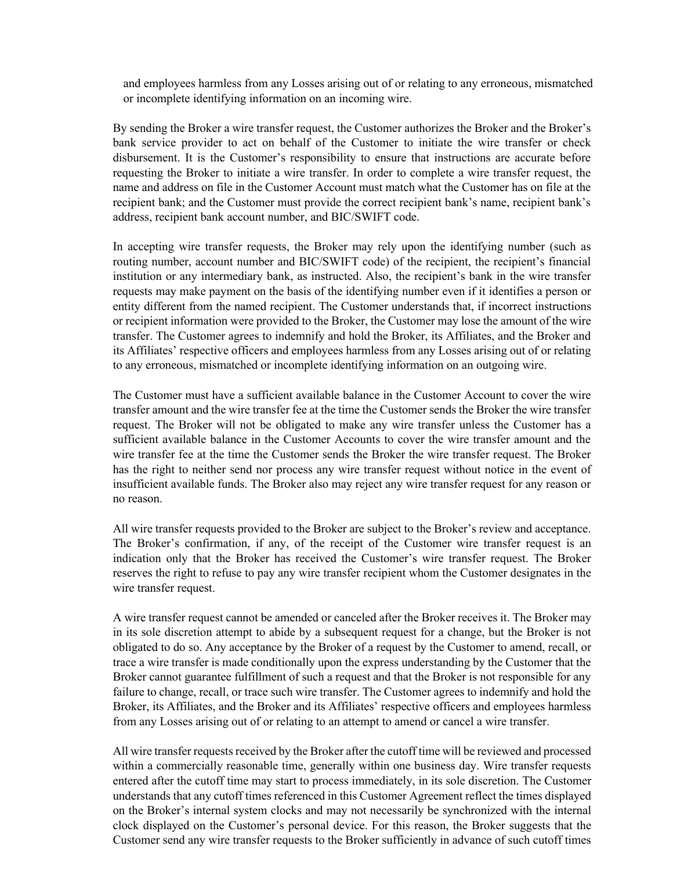and employees harmless from any Losses arising out of or relating to any erroneous, mismatched or incomplete identifying information on an incoming wire.

By sending the Broker a wire transfer request, the Customer authorizes the Broker and the Broker's bank service provider to act on behalf of the Customer to initiate the wire transfer or check disbursement. It is the Customer's responsibility to ensure that instructions are accurate before requesting the Broker to initiate a wire transfer. In order to complete a wire transfer request, the name and address on file in the Customer Account must match what the Customer has on file at the recipient bank; and the Customer must provide the correct recipient bank's name, recipient bank's address, recipient bank account number, and BIC/SWIFT code.

In accepting wire transfer requests, the Broker may rely upon the identifying number (such as routing number, account number and BIC/SWIFT code) of the recipient, the recipient's financial institution or any intermediary bank, as instructed. Also, the recipient's bank in the wire transfer requests may make payment on the basis of the identifying number even if it identifies a person or entity different from the named recipient. The Customer understands that, if incorrect instructions or recipient information were provided to the Broker, the Customer may lose the amount of the wire transfer. The Customer agrees to indemnify and hold the Broker, its Affiliates, and the Broker and its Affiliates' respective officers and employees harmless from any Losses arising out of or relating to any erroneous, mismatched or incomplete identifying information on an outgoing wire.

The Customer must have a sufficient available balance in the Customer Account to cover the wire transfer amount and the wire transfer fee at the time the Customer sends the Broker the wire transfer request. The Broker will not be obligated to make any wire transfer unless the Customer has a sufficient available balance in the Customer Accounts to cover the wire transfer amount and the wire transfer fee at the time the Customer sends the Broker the wire transfer request. The Broker has the right to neither send nor process any wire transfer request without notice in the event of insufficient available funds. The Broker also may reject any wire transfer request for any reason or no reason.

All wire transfer requests provided to the Broker are subject to the Broker's review and acceptance. The Broker's confirmation, if any, of the receipt of the Customer wire transfer request is an indication only that the Broker has received the Customer's wire transfer request. The Broker reserves the right to refuse to pay any wire transfer recipient whom the Customer designates in the wire transfer request.

A wire transfer request cannot be amended or canceled after the Broker receives it. The Broker may in its sole discretion attempt to abide by a subsequent request for a change, but the Broker is not obligated to do so. Any acceptance by the Broker of a request by the Customer to amend, recall, or trace a wire transfer is made conditionally upon the express understanding by the Customer that the Broker cannot guarantee fulfillment of such a request and that the Broker is not responsible for any failure to change, recall, or trace such wire transfer. The Customer agrees to indemnify and hold the Broker, its Affiliates, and the Broker and its Affiliates' respective officers and employees harmless from any Losses arising out of or relating to an attempt to amend or cancel a wire transfer.

All wire transfer requests received by the Broker after the cutoff time will be reviewed and processed within a commercially reasonable time, generally within one business day. Wire transfer requests entered after the cutoff time may start to process immediately, in its sole discretion. The Customer understands that any cutoff times referenced in this Customer Agreement reflect the times displayed on the Broker's internal system clocks and may not necessarily be synchronized with the internal clock displayed on the Customer's personal device. For this reason, the Broker suggests that the Customer send any wire transfer requests to the Broker sufficiently in advance of such cutoff times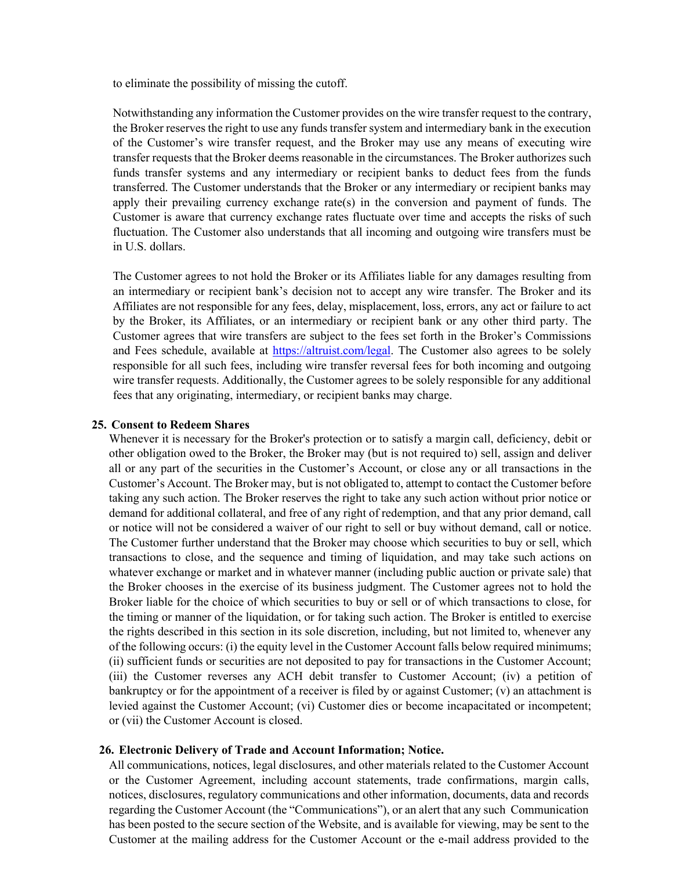to eliminate the possibility of missing the cutoff.

Notwithstanding any information the Customer provides on the wire transfer request to the contrary, the Broker reserves the right to use any funds transfer system and intermediary bank in the execution of the Customer's wire transfer request, and the Broker may use any means of executing wire transfer requests that the Broker deems reasonable in the circumstances. The Broker authorizes such funds transfer systems and any intermediary or recipient banks to deduct fees from the funds transferred. The Customer understands that the Broker or any intermediary or recipient banks may apply their prevailing currency exchange rate(s) in the conversion and payment of funds. The Customer is aware that currency exchange rates fluctuate over time and accepts the risks of such fluctuation. The Customer also understands that all incoming and outgoing wire transfers must be in U.S. dollars.

The Customer agrees to not hold the Broker or its Affiliates liable for any damages resulting from an intermediary or recipient bank's decision not to accept any wire transfer. The Broker and its Affiliates are not responsible for any fees, delay, misplacement, loss, errors, any act or failure to act by the Broker, its Affiliates, or an intermediary or recipient bank or any other third party. The Customer agrees that wire transfers are subject to the fees set forth in the Broker's Commissions and Fees schedule, available at **https://altruist.com/legal**. The Customer also agrees to be solely responsible for all such fees, including wire transfer reversal fees for both incoming and outgoing wire transfer requests. Additionally, the Customer agrees to be solely responsible for any additional fees that any originating, intermediary, or recipient banks may charge.

#### **25. Consent to Redeem Shares**

Whenever it is necessary for the Broker's protection or to satisfy a margin call, deficiency, debit or other obligation owed to the Broker, the Broker may (but is not required to) sell, assign and deliver all or any part of the securities in the Customer's Account, or close any or all transactions in the Customer's Account. The Broker may, but is not obligated to, attempt to contact the Customer before taking any such action. The Broker reserves the right to take any such action without prior notice or demand for additional collateral, and free of any right of redemption, and that any prior demand, call or notice will not be considered a waiver of our right to sell or buy without demand, call or notice. The Customer further understand that the Broker may choose which securities to buy or sell, which transactions to close, and the sequence and timing of liquidation, and may take such actions on whatever exchange or market and in whatever manner (including public auction or private sale) that the Broker chooses in the exercise of its business judgment. The Customer agrees not to hold the Broker liable for the choice of which securities to buy or sell or of which transactions to close, for the timing or manner of the liquidation, or for taking such action. The Broker is entitled to exercise the rights described in this section in its sole discretion, including, but not limited to, whenever any of the following occurs: (i) the equity level in the Customer Account falls below required minimums; (ii) sufficient funds or securities are not deposited to pay for transactions in the Customer Account; (iii) the Customer reverses any ACH debit transfer to Customer Account; (iv) a petition of bankruptcy or for the appointment of a receiver is filed by or against Customer; (v) an attachment is levied against the Customer Account; (vi) Customer dies or become incapacitated or incompetent; or (vii) the Customer Account is closed.

### **26. Electronic Delivery of Trade and Account Information; Notice.**

All communications, notices, legal disclosures, and other materials related to the Customer Account or the Customer Agreement, including account statements, trade confirmations, margin calls, notices, disclosures, regulatory communications and other information, documents, data and records regarding the Customer Account (the "Communications"), or an alert that any such Communication has been posted to the secure section of the Website, and is available for viewing, may be sent to the Customer at the mailing address for the Customer Account or the e-mail address provided to the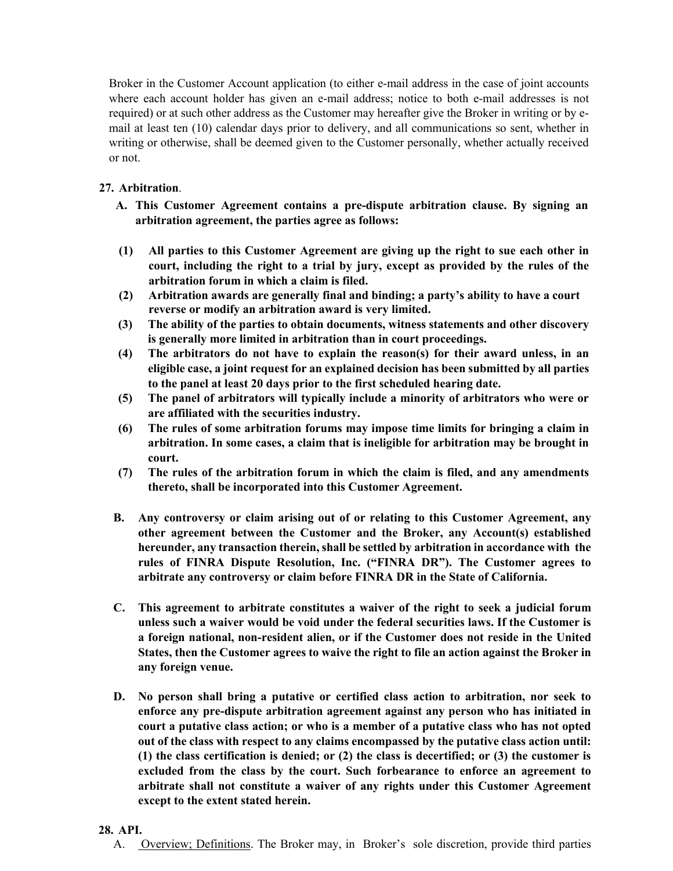Broker in the Customer Account application (to either e-mail address in the case of joint accounts where each account holder has given an e-mail address; notice to both e-mail addresses is not required) or at such other address as the Customer may hereafter give the Broker in writing or by email at least ten (10) calendar days prior to delivery, and all communications so sent, whether in writing or otherwise, shall be deemed given to the Customer personally, whether actually received or not.

# **27. Arbitration**.

- **A. This Customer Agreement contains a pre-dispute arbitration clause. By signing an arbitration agreement, the parties agree as follows:**
- **(1) All parties to this Customer Agreement are giving up the right to sue each other in court, including the right to a trial by jury, except as provided by the rules of the arbitration forum in which a claim is filed.**
- **(2) Arbitration awards are generally final and binding; a party's ability to have a court reverse or modify an arbitration award is very limited.**
- **(3) The ability of the parties to obtain documents, witness statements and other discovery is generally more limited in arbitration than in court proceedings.**
- **(4) The arbitrators do not have to explain the reason(s) for their award unless, in an eligible case, a joint request for an explained decision has been submitted by all parties to the panel at least 20 days prior to the first scheduled hearing date.**
- **(5) The panel of arbitrators will typically include a minority of arbitrators who were or are affiliated with the securities industry.**
- **(6) The rules of some arbitration forums may impose time limits for bringing a claim in arbitration. In some cases, a claim that is ineligible for arbitration may be brought in court.**
- **(7) The rules of the arbitration forum in which the claim is filed, and any amendments thereto, shall be incorporated into this Customer Agreement.**
- **B. Any controversy or claim arising out of or relating to this Customer Agreement, any other agreement between the Customer and the Broker, any Account(s) established hereunder, any transaction therein, shall be settled by arbitration in accordance with the rules of FINRA Dispute Resolution, Inc. ("FINRA DR"). The Customer agrees to arbitrate any controversy or claim before FINRA DR in the State of California.**
- **C. This agreement to arbitrate constitutes a waiver of the right to seek a judicial forum unless such a waiver would be void under the federal securities laws. If the Customer is a foreign national, non-resident alien, or if the Customer does not reside in the United States, then the Customer agrees to waive the right to file an action against the Broker in any foreign venue.**
- **D. No person shall bring a putative or certified class action to arbitration, nor seek to enforce any pre-dispute arbitration agreement against any person who has initiated in court a putative class action; or who is a member of a putative class who has not opted out of the class with respect to any claims encompassed by the putative class action until: (1) the class certification is denied; or (2) the class is decertified; or (3) the customer is excluded from the class by the court. Such forbearance to enforce an agreement to arbitrate shall not constitute a waiver of any rights under this Customer Agreement except to the extent stated herein.**

### **28. API.**

A. Overview; Definitions. The Broker may, in Broker's sole discretion, provide third parties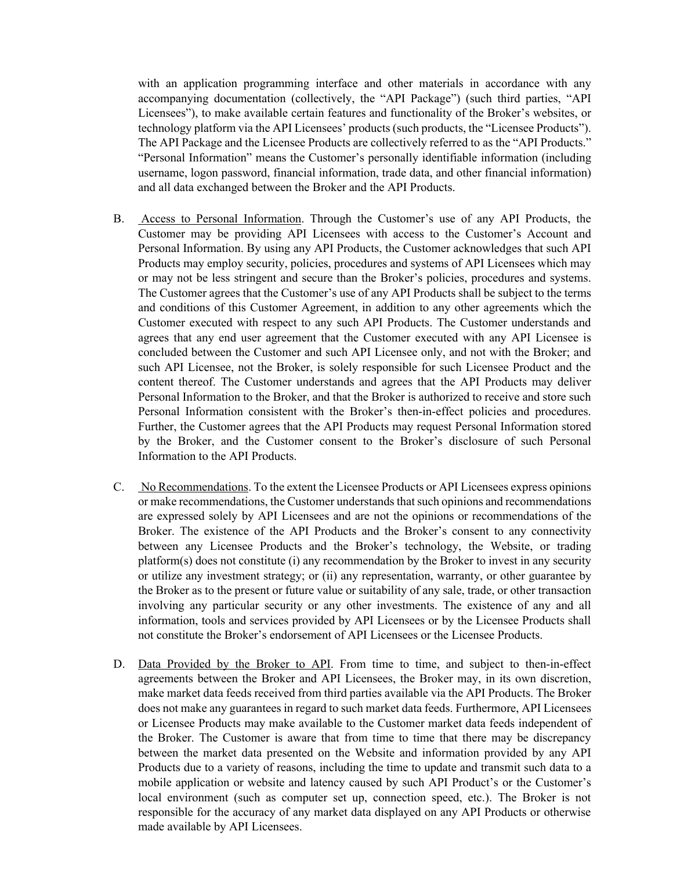with an application programming interface and other materials in accordance with any accompanying documentation (collectively, the "API Package") (such third parties, "API Licensees"), to make available certain features and functionality of the Broker's websites, or technology platform via the API Licensees' products (such products, the "Licensee Products"). The API Package and the Licensee Products are collectively referred to as the "API Products." "Personal Information" means the Customer's personally identifiable information (including username, logon password, financial information, trade data, and other financial information) and all data exchanged between the Broker and the API Products.

- B. Access to Personal Information. Through the Customer's use of any API Products, the Customer may be providing API Licensees with access to the Customer's Account and Personal Information. By using any API Products, the Customer acknowledges that such API Products may employ security, policies, procedures and systems of API Licensees which may or may not be less stringent and secure than the Broker's policies, procedures and systems. The Customer agrees that the Customer's use of any API Products shall be subject to the terms and conditions of this Customer Agreement, in addition to any other agreements which the Customer executed with respect to any such API Products. The Customer understands and agrees that any end user agreement that the Customer executed with any API Licensee is concluded between the Customer and such API Licensee only, and not with the Broker; and such API Licensee, not the Broker, is solely responsible for such Licensee Product and the content thereof. The Customer understands and agrees that the API Products may deliver Personal Information to the Broker, and that the Broker is authorized to receive and store such Personal Information consistent with the Broker's then-in-effect policies and procedures. Further, the Customer agrees that the API Products may request Personal Information stored by the Broker, and the Customer consent to the Broker's disclosure of such Personal Information to the API Products.
- C. No Recommendations. To the extent the Licensee Products or API Licensees express opinions or make recommendations, the Customer understands that such opinions and recommendations are expressed solely by API Licensees and are not the opinions or recommendations of the Broker. The existence of the API Products and the Broker's consent to any connectivity between any Licensee Products and the Broker's technology, the Website, or trading platform(s) does not constitute (i) any recommendation by the Broker to invest in any security or utilize any investment strategy; or (ii) any representation, warranty, or other guarantee by the Broker as to the present or future value or suitability of any sale, trade, or other transaction involving any particular security or any other investments. The existence of any and all information, tools and services provided by API Licensees or by the Licensee Products shall not constitute the Broker's endorsement of API Licensees or the Licensee Products.
- D. Data Provided by the Broker to API. From time to time, and subject to then-in-effect agreements between the Broker and API Licensees, the Broker may, in its own discretion, make market data feeds received from third parties available via the API Products. The Broker does not make any guarantees in regard to such market data feeds. Furthermore, API Licensees or Licensee Products may make available to the Customer market data feeds independent of the Broker. The Customer is aware that from time to time that there may be discrepancy between the market data presented on the Website and information provided by any API Products due to a variety of reasons, including the time to update and transmit such data to a mobile application or website and latency caused by such API Product's or the Customer's local environment (such as computer set up, connection speed, etc.). The Broker is not responsible for the accuracy of any market data displayed on any API Products or otherwise made available by API Licensees.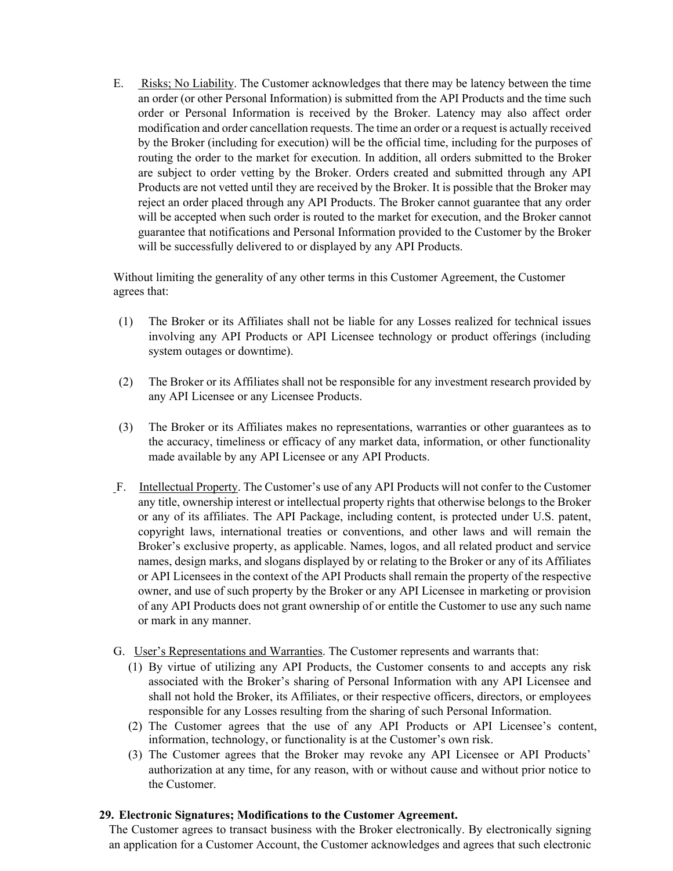E. Risks; No Liability. The Customer acknowledges that there may be latency between the time an order (or other Personal Information) is submitted from the API Products and the time such order or Personal Information is received by the Broker. Latency may also affect order modification and order cancellation requests. The time an order or a request is actually received by the Broker (including for execution) will be the official time, including for the purposes of routing the order to the market for execution. In addition, all orders submitted to the Broker are subject to order vetting by the Broker. Orders created and submitted through any API Products are not vetted until they are received by the Broker. It is possible that the Broker may reject an order placed through any API Products. The Broker cannot guarantee that any order will be accepted when such order is routed to the market for execution, and the Broker cannot guarantee that notifications and Personal Information provided to the Customer by the Broker will be successfully delivered to or displayed by any API Products.

Without limiting the generality of any other terms in this Customer Agreement, the Customer agrees that:

- (1) The Broker or its Affiliates shall not be liable for any Losses realized for technical issues involving any API Products or API Licensee technology or product offerings (including system outages or downtime).
- (2) The Broker or its Affiliates shall not be responsible for any investment research provided by any API Licensee or any Licensee Products.
- (3) The Broker or its Affiliates makes no representations, warranties or other guarantees as to the accuracy, timeliness or efficacy of any market data, information, or other functionality made available by any API Licensee or any API Products.
- F. Intellectual Property. The Customer's use of any API Products will not confer to the Customer any title, ownership interest or intellectual property rights that otherwise belongs to the Broker or any of its affiliates. The API Package, including content, is protected under U.S. patent, copyright laws, international treaties or conventions, and other laws and will remain the Broker's exclusive property, as applicable. Names, logos, and all related product and service names, design marks, and slogans displayed by or relating to the Broker or any of its Affiliates or API Licensees in the context of the API Products shall remain the property of the respective owner, and use of such property by the Broker or any API Licensee in marketing or provision of any API Products does not grant ownership of or entitle the Customer to use any such name or mark in any manner.
- G. User's Representations and Warranties. The Customer represents and warrants that:
	- (1) By virtue of utilizing any API Products, the Customer consents to and accepts any risk associated with the Broker's sharing of Personal Information with any API Licensee and shall not hold the Broker, its Affiliates, or their respective officers, directors, or employees responsible for any Losses resulting from the sharing of such Personal Information.
	- (2) The Customer agrees that the use of any API Products or API Licensee's content, information, technology, or functionality is at the Customer's own risk.
	- (3) The Customer agrees that the Broker may revoke any API Licensee or API Products' authorization at any time, for any reason, with or without cause and without prior notice to the Customer.

#### **29. Electronic Signatures; Modifications to the Customer Agreement.**

The Customer agrees to transact business with the Broker electronically. By electronically signing an application for a Customer Account, the Customer acknowledges and agrees that such electronic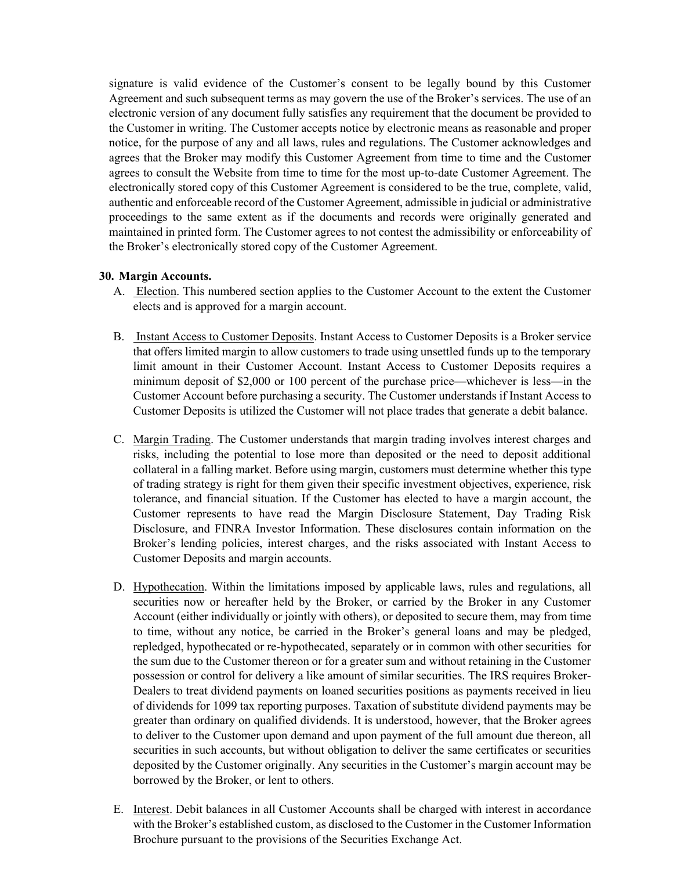signature is valid evidence of the Customer's consent to be legally bound by this Customer Agreement and such subsequent terms as may govern the use of the Broker's services. The use of an electronic version of any document fully satisfies any requirement that the document be provided to the Customer in writing. The Customer accepts notice by electronic means as reasonable and proper notice, for the purpose of any and all laws, rules and regulations. The Customer acknowledges and agrees that the Broker may modify this Customer Agreement from time to time and the Customer agrees to consult the Website from time to time for the most up-to-date Customer Agreement. The electronically stored copy of this Customer Agreement is considered to be the true, complete, valid, authentic and enforceable record of the Customer Agreement, admissible in judicial or administrative proceedings to the same extent as if the documents and records were originally generated and maintained in printed form. The Customer agrees to not contest the admissibility or enforceability of the Broker's electronically stored copy of the Customer Agreement.

### **30. Margin Accounts.**

- A. Election. This numbered section applies to the Customer Account to the extent the Customer elects and is approved for a margin account.
- B. Instant Access to Customer Deposits. Instant Access to Customer Deposits is a Broker service that offers limited margin to allow customers to trade using unsettled funds up to the temporary limit amount in their Customer Account. Instant Access to Customer Deposits requires a minimum deposit of \$2,000 or 100 percent of the purchase price—whichever is less—in the Customer Account before purchasing a security. The Customer understands if Instant Access to Customer Deposits is utilized the Customer will not place trades that generate a debit balance.
- C. Margin Trading. The Customer understands that margin trading involves interest charges and risks, including the potential to lose more than deposited or the need to deposit additional collateral in a falling market. Before using margin, customers must determine whether this type of trading strategy is right for them given their specific investment objectives, experience, risk tolerance, and financial situation. If the Customer has elected to have a margin account, the Customer represents to have read the Margin Disclosure Statement, Day Trading Risk Disclosure, and FINRA Investor Information. These disclosures contain information on the Broker's lending policies, interest charges, and the risks associated with Instant Access to Customer Deposits and margin accounts.
- D. Hypothecation. Within the limitations imposed by applicable laws, rules and regulations, all securities now or hereafter held by the Broker, or carried by the Broker in any Customer Account (either individually or jointly with others), or deposited to secure them, may from time to time, without any notice, be carried in the Broker's general loans and may be pledged, repledged, hypothecated or re-hypothecated, separately or in common with other securities for the sum due to the Customer thereon or for a greater sum and without retaining in the Customer possession or control for delivery a like amount of similar securities. The IRS requires Broker-Dealers to treat dividend payments on loaned securities positions as payments received in lieu of dividends for 1099 tax reporting purposes. Taxation of substitute dividend payments may be greater than ordinary on qualified dividends. It is understood, however, that the Broker agrees to deliver to the Customer upon demand and upon payment of the full amount due thereon, all securities in such accounts, but without obligation to deliver the same certificates or securities deposited by the Customer originally. Any securities in the Customer's margin account may be borrowed by the Broker, or lent to others.
- E. Interest. Debit balances in all Customer Accounts shall be charged with interest in accordance with the Broker's established custom, as disclosed to the Customer in the Customer Information Brochure pursuant to the provisions of the Securities Exchange Act.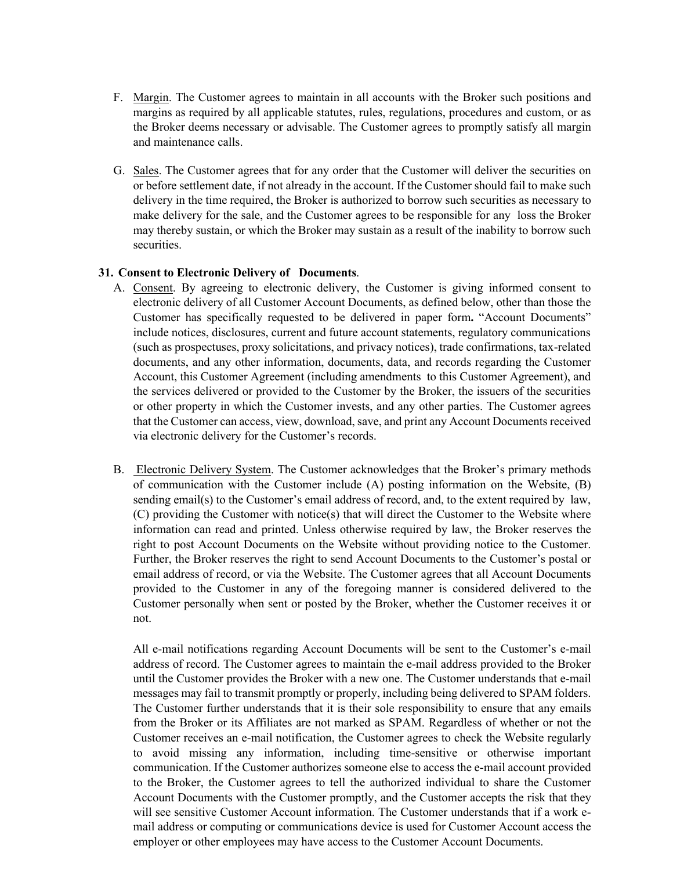- F. Margin. The Customer agrees to maintain in all accounts with the Broker such positions and margins as required by all applicable statutes, rules, regulations, procedures and custom, or as the Broker deems necessary or advisable. The Customer agrees to promptly satisfy all margin and maintenance calls.
- G. Sales. The Customer agrees that for any order that the Customer will deliver the securities on or before settlement date, if not already in the account. If the Customer should fail to make such delivery in the time required, the Broker is authorized to borrow such securities as necessary to make delivery for the sale, and the Customer agrees to be responsible for any loss the Broker may thereby sustain, or which the Broker may sustain as a result of the inability to borrow such securities.

### **31. Consent to Electronic Delivery of Documents**.

- A. Consent. By agreeing to electronic delivery, the Customer is giving informed consent to electronic delivery of all Customer Account Documents, as defined below, other than those the Customer has specifically requested to be delivered in paper form**.** "Account Documents" include notices, disclosures, current and future account statements, regulatory communications (such as prospectuses, proxy solicitations, and privacy notices), trade confirmations, tax-related documents, and any other information, documents, data, and records regarding the Customer Account, this Customer Agreement (including amendments to this Customer Agreement), and the services delivered or provided to the Customer by the Broker, the issuers of the securities or other property in which the Customer invests, and any other parties. The Customer agrees that the Customer can access, view, download, save, and print any Account Documents received via electronic delivery for the Customer's records.
- B. Electronic Delivery System. The Customer acknowledges that the Broker's primary methods of communication with the Customer include (A) posting information on the Website, (B) sending  $email(s)$  to the Customer's email address of record, and, to the extent required by law, (C) providing the Customer with notice(s) that will direct the Customer to the Website where information can read and printed. Unless otherwise required by law, the Broker reserves the right to post Account Documents on the Website without providing notice to the Customer. Further, the Broker reserves the right to send Account Documents to the Customer's postal or email address of record, or via the Website. The Customer agrees that all Account Documents provided to the Customer in any of the foregoing manner is considered delivered to the Customer personally when sent or posted by the Broker, whether the Customer receives it or not.

All e-mail notifications regarding Account Documents will be sent to the Customer's e-mail address of record. The Customer agrees to maintain the e-mail address provided to the Broker until the Customer provides the Broker with a new one. The Customer understands that e-mail messages may fail to transmit promptly or properly, including being delivered to SPAM folders. The Customer further understands that it is their sole responsibility to ensure that any emails from the Broker or its Affiliates are not marked as SPAM. Regardless of whether or not the Customer receives an e-mail notification, the Customer agrees to check the Website regularly to avoid missing any information, including time-sensitive or otherwise important communication. If the Customer authorizes someone else to access the e-mail account provided to the Broker, the Customer agrees to tell the authorized individual to share the Customer Account Documents with the Customer promptly, and the Customer accepts the risk that they will see sensitive Customer Account information. The Customer understands that if a work email address or computing or communications device is used for Customer Account access the employer or other employees may have access to the Customer Account Documents.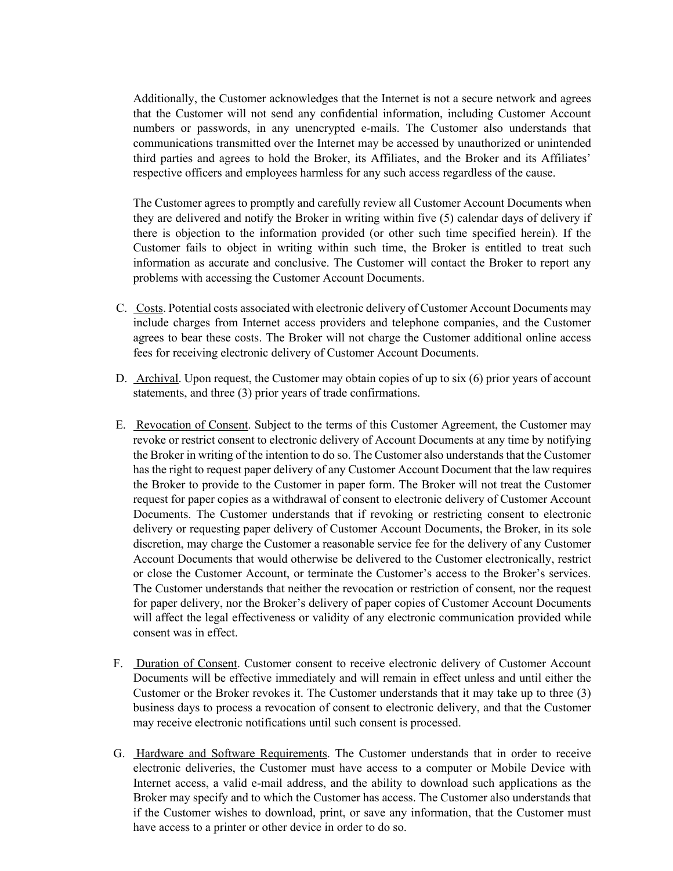Additionally, the Customer acknowledges that the Internet is not a secure network and agrees that the Customer will not send any confidential information, including Customer Account numbers or passwords, in any unencrypted e-mails. The Customer also understands that communications transmitted over the Internet may be accessed by unauthorized or unintended third parties and agrees to hold the Broker, its Affiliates, and the Broker and its Affiliates' respective officers and employees harmless for any such access regardless of the cause.

The Customer agrees to promptly and carefully review all Customer Account Documents when they are delivered and notify the Broker in writing within five (5) calendar days of delivery if there is objection to the information provided (or other such time specified herein). If the Customer fails to object in writing within such time, the Broker is entitled to treat such information as accurate and conclusive. The Customer will contact the Broker to report any problems with accessing the Customer Account Documents.

- C. Costs. Potential costs associated with electronic delivery of Customer Account Documents may include charges from Internet access providers and telephone companies, and the Customer agrees to bear these costs. The Broker will not charge the Customer additional online access fees for receiving electronic delivery of Customer Account Documents.
- D. Archival. Upon request, the Customer may obtain copies of up to six (6) prior years of account statements, and three (3) prior years of trade confirmations.
- E. Revocation of Consent. Subject to the terms of this Customer Agreement, the Customer may revoke or restrict consent to electronic delivery of Account Documents at any time by notifying the Broker in writing of the intention to do so. The Customer also understands that the Customer has the right to request paper delivery of any Customer Account Document that the law requires the Broker to provide to the Customer in paper form. The Broker will not treat the Customer request for paper copies as a withdrawal of consent to electronic delivery of Customer Account Documents. The Customer understands that if revoking or restricting consent to electronic delivery or requesting paper delivery of Customer Account Documents, the Broker, in its sole discretion, may charge the Customer a reasonable service fee for the delivery of any Customer Account Documents that would otherwise be delivered to the Customer electronically, restrict or close the Customer Account, or terminate the Customer's access to the Broker's services. The Customer understands that neither the revocation or restriction of consent, nor the request for paper delivery, nor the Broker's delivery of paper copies of Customer Account Documents will affect the legal effectiveness or validity of any electronic communication provided while consent was in effect.
- F. Duration of Consent. Customer consent to receive electronic delivery of Customer Account Documents will be effective immediately and will remain in effect unless and until either the Customer or the Broker revokes it. The Customer understands that it may take up to three (3) business days to process a revocation of consent to electronic delivery, and that the Customer may receive electronic notifications until such consent is processed.
- G. Hardware and Software Requirements. The Customer understands that in order to receive electronic deliveries, the Customer must have access to a computer or Mobile Device with Internet access, a valid e-mail address, and the ability to download such applications as the Broker may specify and to which the Customer has access. The Customer also understands that if the Customer wishes to download, print, or save any information, that the Customer must have access to a printer or other device in order to do so.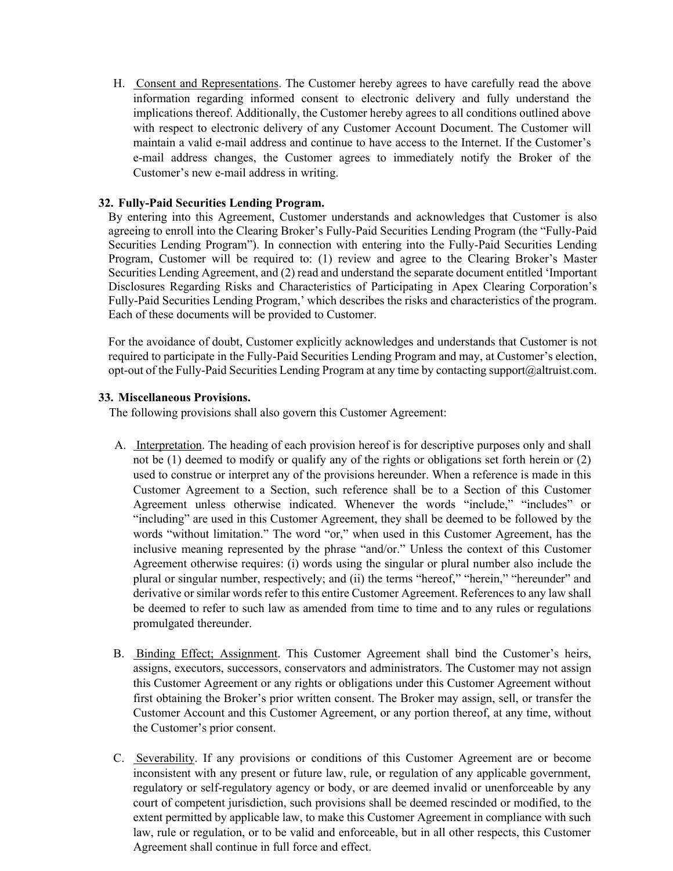H. Consent and Representations. The Customer hereby agrees to have carefully read the above information regarding informed consent to electronic delivery and fully understand the implications thereof. Additionally, the Customer hereby agrees to all conditions outlined above with respect to electronic delivery of any Customer Account Document. The Customer will maintain a valid e-mail address and continue to have access to the Internet. If the Customer's e-mail address changes, the Customer agrees to immediately notify the Broker of the Customer's new e-mail address in writing.

# **32. Fully-Paid Securities Lending Program.**

By entering into this Agreement, Customer understands and acknowledges that Customer is also agreeing to enroll into the Clearing Broker's Fully-Paid Securities Lending Program (the "Fully-Paid Securities Lending Program"). In connection with entering into the Fully-Paid Securities Lending Program, Customer will be required to: (1) review and agree to the Clearing Broker's Master Securities Lending Agreement, and (2) read and understand the separate document entitled 'Important Disclosures Regarding Risks and Characteristics of Participating in Apex Clearing Corporation's Fully-Paid Securities Lending Program,' which describes the risks and characteristics of the program. Each of these documents will be provided to Customer.

For the avoidance of doubt, Customer explicitly acknowledges and understands that Customer is not required to participate in the Fully-Paid Securities Lending Program and may, at Customer's election, opt-out of the Fully-Paid Securities Lending Program at any time by contacting support@altruist.com.

## **33. Miscellaneous Provisions.**

The following provisions shall also govern this Customer Agreement:

- A. Interpretation. The heading of each provision hereof is for descriptive purposes only and shall not be (1) deemed to modify or qualify any of the rights or obligations set forth herein or (2) used to construe or interpret any of the provisions hereunder. When a reference is made in this Customer Agreement to a Section, such reference shall be to a Section of this Customer Agreement unless otherwise indicated. Whenever the words "include," "includes" or "including" are used in this Customer Agreement, they shall be deemed to be followed by the words "without limitation." The word "or," when used in this Customer Agreement, has the inclusive meaning represented by the phrase "and/or." Unless the context of this Customer Agreement otherwise requires: (i) words using the singular or plural number also include the plural or singular number, respectively; and (ii) the terms "hereof," "herein," "hereunder" and derivative or similar words refer to this entire Customer Agreement. References to any law shall be deemed to refer to such law as amended from time to time and to any rules or regulations promulgated thereunder.
- B. Binding Effect; Assignment. This Customer Agreement shall bind the Customer's heirs, assigns, executors, successors, conservators and administrators. The Customer may not assign this Customer Agreement or any rights or obligations under this Customer Agreement without first obtaining the Broker's prior written consent. The Broker may assign, sell, or transfer the Customer Account and this Customer Agreement, or any portion thereof, at any time, without the Customer's prior consent.
- C. Severability. If any provisions or conditions of this Customer Agreement are or become inconsistent with any present or future law, rule, or regulation of any applicable government, regulatory or self-regulatory agency or body, or are deemed invalid or unenforceable by any court of competent jurisdiction, such provisions shall be deemed rescinded or modified, to the extent permitted by applicable law, to make this Customer Agreement in compliance with such law, rule or regulation, or to be valid and enforceable, but in all other respects, this Customer Agreement shall continue in full force and effect.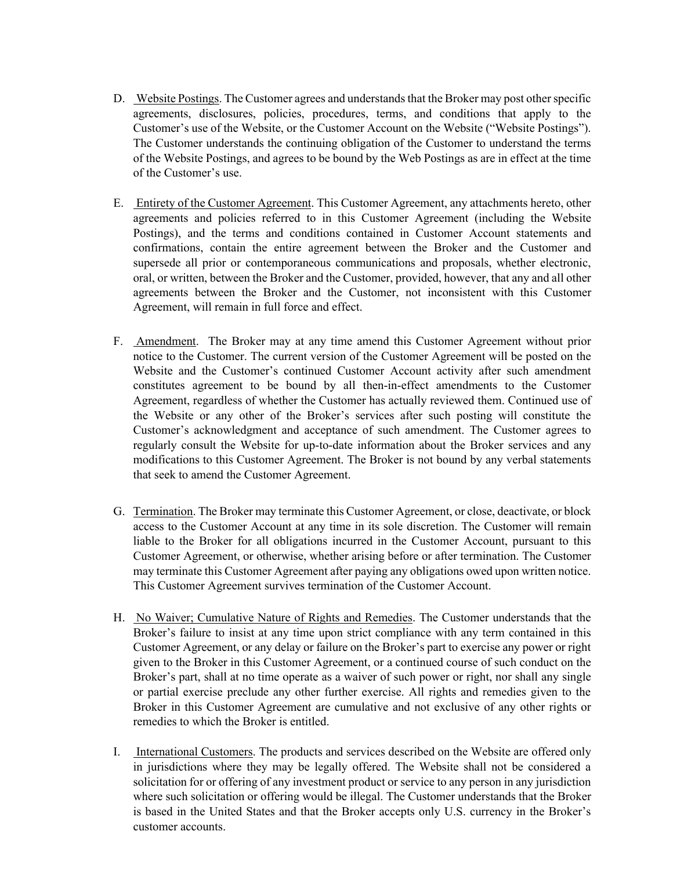- D. Website Postings. The Customer agrees and understands that the Broker may post other specific agreements, disclosures, policies, procedures, terms, and conditions that apply to the Customer's use of the Website, or the Customer Account on the Website ("Website Postings"). The Customer understands the continuing obligation of the Customer to understand the terms of the Website Postings, and agrees to be bound by the Web Postings as are in effect at the time of the Customer's use.
- E. Entirety of the Customer Agreement. This Customer Agreement, any attachments hereto, other agreements and policies referred to in this Customer Agreement (including the Website Postings), and the terms and conditions contained in Customer Account statements and confirmations, contain the entire agreement between the Broker and the Customer and supersede all prior or contemporaneous communications and proposals, whether electronic, oral, or written, between the Broker and the Customer, provided, however, that any and all other agreements between the Broker and the Customer, not inconsistent with this Customer Agreement, will remain in full force and effect.
- F. Amendment. The Broker may at any time amend this Customer Agreement without prior notice to the Customer. The current version of the Customer Agreement will be posted on the Website and the Customer's continued Customer Account activity after such amendment constitutes agreement to be bound by all then-in-effect amendments to the Customer Agreement, regardless of whether the Customer has actually reviewed them. Continued use of the Website or any other of the Broker's services after such posting will constitute the Customer's acknowledgment and acceptance of such amendment. The Customer agrees to regularly consult the Website for up-to-date information about the Broker services and any modifications to this Customer Agreement. The Broker is not bound by any verbal statements that seek to amend the Customer Agreement.
- G. Termination. The Broker may terminate this Customer Agreement, or close, deactivate, or block access to the Customer Account at any time in its sole discretion. The Customer will remain liable to the Broker for all obligations incurred in the Customer Account, pursuant to this Customer Agreement, or otherwise, whether arising before or after termination. The Customer may terminate this Customer Agreement after paying any obligations owed upon written notice. This Customer Agreement survives termination of the Customer Account.
- H. No Waiver; Cumulative Nature of Rights and Remedies. The Customer understands that the Broker's failure to insist at any time upon strict compliance with any term contained in this Customer Agreement, or any delay or failure on the Broker's part to exercise any power or right given to the Broker in this Customer Agreement, or a continued course of such conduct on the Broker's part, shall at no time operate as a waiver of such power or right, nor shall any single or partial exercise preclude any other further exercise. All rights and remedies given to the Broker in this Customer Agreement are cumulative and not exclusive of any other rights or remedies to which the Broker is entitled.
- I. International Customers. The products and services described on the Website are offered only in jurisdictions where they may be legally offered. The Website shall not be considered a solicitation for or offering of any investment product or service to any person in any jurisdiction where such solicitation or offering would be illegal. The Customer understands that the Broker is based in the United States and that the Broker accepts only U.S. currency in the Broker's customer accounts.